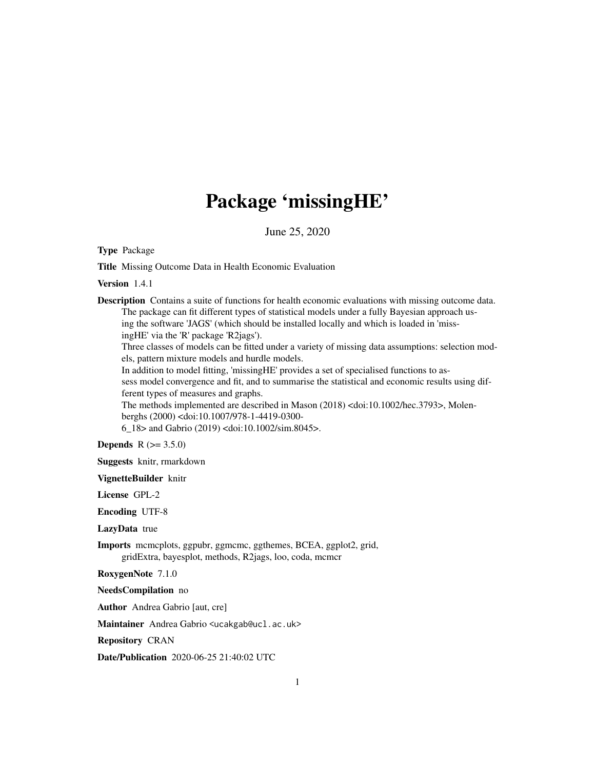# Package 'missingHE'

June 25, 2020

<span id="page-0-0"></span>Type Package

Title Missing Outcome Data in Health Economic Evaluation

Version 1.4.1

Description Contains a suite of functions for health economic evaluations with missing outcome data. The package can fit different types of statistical models under a fully Bayesian approach using the software 'JAGS' (which should be installed locally and which is loaded in 'missingHE' via the 'R' package 'R2jags').

Three classes of models can be fitted under a variety of missing data assumptions: selection models, pattern mixture models and hurdle models.

In addition to model fitting, 'missingHE' provides a set of specialised functions to assess model convergence and fit, and to summarise the statistical and economic results using different types of measures and graphs.

The methods implemented are described in Mason (2018) <doi:10.1002/hec.3793>, Molenberghs (2000) <doi:10.1007/978-1-4419-0300-

6\_18> and Gabrio (2019) <doi:10.1002/sim.8045>.

**Depends**  $R (= 3.5.0)$ 

Suggests knitr, rmarkdown

VignetteBuilder knitr

License GPL-2

Encoding UTF-8

LazyData true

Imports mcmcplots, ggpubr, ggmcmc, ggthemes, BCEA, ggplot2, grid, gridExtra, bayesplot, methods, R2jags, loo, coda, mcmcr

RoxygenNote 7.1.0

NeedsCompilation no

Author Andrea Gabrio [aut, cre]

Maintainer Andrea Gabrio <ucakgab@ucl.ac.uk>

Repository CRAN

Date/Publication 2020-06-25 21:40:02 UTC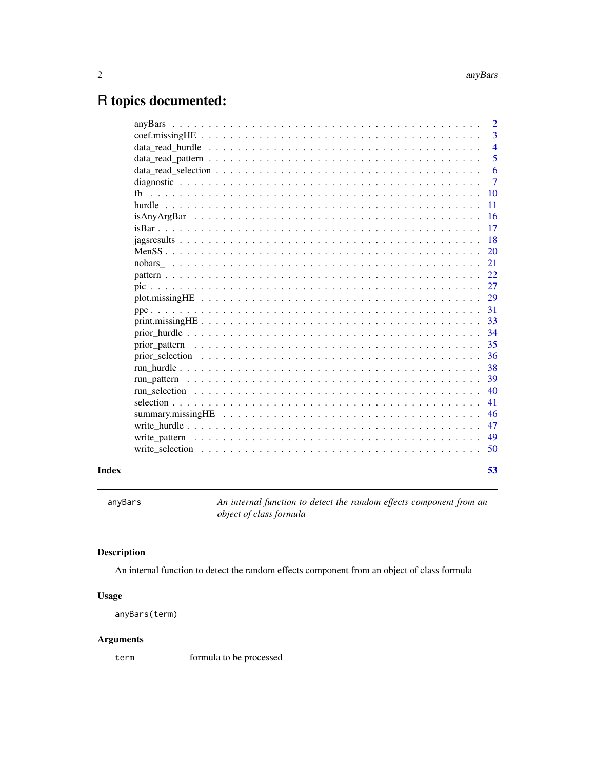## <span id="page-1-0"></span>R topics documented:

|       |    | $\overline{2}$ |
|-------|----|----------------|
|       |    | 3              |
|       |    | $\overline{4}$ |
|       |    | 5              |
|       |    | 6              |
|       |    | $\tau$         |
|       | fh | <b>10</b>      |
|       |    | 11             |
|       |    | 16             |
|       |    | 17             |
|       |    | 18             |
|       |    | 20             |
|       |    | 21             |
|       |    | 22             |
|       |    | 27             |
|       |    | 29             |
|       |    | 31             |
|       |    | 33             |
|       |    | 34             |
|       |    | 35             |
|       |    | 36             |
|       |    | 38             |
|       |    | 39             |
|       |    | 40             |
|       |    | 41             |
|       |    | 46             |
|       |    | 47             |
|       |    | 49             |
|       |    | 50             |
| Index |    | 53             |
|       |    |                |

An internal function to detect the random effects component from an *object of class formula*

#### Description

An internal function to detect the random effects component from an object of class formula

#### Usage

```
anyBars(term)
```
#### Arguments

term formula to be processed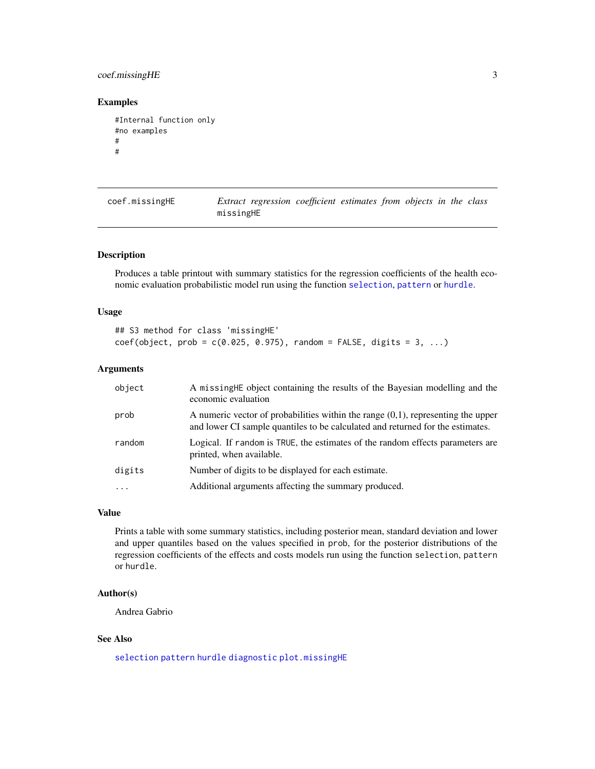#### <span id="page-2-0"></span>coef.missingHE 3

#### Examples

```
#Internal function only
#no examples
#
#
```

| coef.missingHE |           | Extract regression coefficient estimates from objects in the class |  |  |  |
|----------------|-----------|--------------------------------------------------------------------|--|--|--|
|                | missingHE |                                                                    |  |  |  |

#### Description

Produces a table printout with summary statistics for the regression coefficients of the health economic evaluation probabilistic model run using the function [selection](#page-40-1), [pattern](#page-21-1) or [hurdle](#page-10-1).

#### Usage

## S3 method for class 'missingHE'  $coef(object, prob = c(0.025, 0.975), random = FALSE, digits = 3, ...)$ 

#### Arguments

| object | A missing HE object containing the results of the Bayesian modelling and the<br>economic evaluation                                                                   |
|--------|-----------------------------------------------------------------------------------------------------------------------------------------------------------------------|
| prob   | A numeric vector of probabilities within the range $(0,1)$ , representing the upper<br>and lower CI sample quantiles to be calculated and returned for the estimates. |
| random | Logical. If random is TRUE, the estimates of the random effects parameters are<br>printed, when available.                                                            |
| digits | Number of digits to be displayed for each estimate.                                                                                                                   |
|        | Additional arguments affecting the summary produced.                                                                                                                  |

#### Value

Prints a table with some summary statistics, including posterior mean, standard deviation and lower and upper quantiles based on the values specified in prob, for the posterior distributions of the regression coefficients of the effects and costs models run using the function selection, pattern or hurdle.

#### Author(s)

Andrea Gabrio

#### See Also

[selection](#page-40-1) [pattern](#page-21-1) [hurdle](#page-10-1) [diagnostic](#page-6-1) [plot.missingHE](#page-28-1)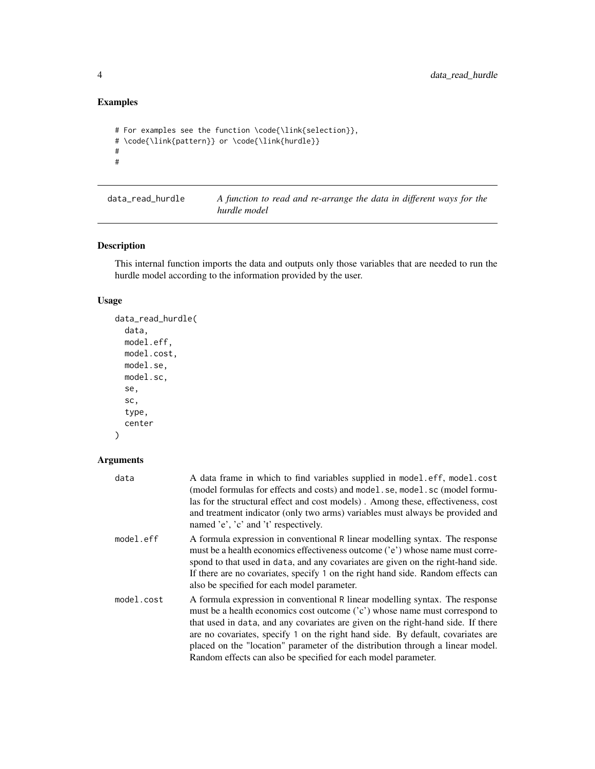```
# For examples see the function \code{\link{selection}},
# \code{\link{pattern}} or \code{\link{hurdle}}
#
#
```

| data read hurdle | A function to read and re-arrange the data in different ways for the |  |  |  |  |  |
|------------------|----------------------------------------------------------------------|--|--|--|--|--|
|                  | hurdle model                                                         |  |  |  |  |  |

#### Description

This internal function imports the data and outputs only those variables that are needed to run the hurdle model according to the information provided by the user.

#### Usage

```
data_read_hurdle(
  data,
  model.eff,
  model.cost,
  model.se,
  model.sc,
  se,
  sc,
  type,
  center
\mathcal{L}
```

| data       | A data frame in which to find variables supplied in model.eff, model.cost<br>(model formulas for effects and costs) and model. se, model. sc (model formu-<br>las for the structural effect and cost models). Among these, effectiveness, cost<br>and treatment indicator (only two arms) variables must always be provided and<br>named 'e', 'c' and 't' respectively.                                                                                                                |
|------------|----------------------------------------------------------------------------------------------------------------------------------------------------------------------------------------------------------------------------------------------------------------------------------------------------------------------------------------------------------------------------------------------------------------------------------------------------------------------------------------|
| model.eff  | A formula expression in conventional R linear modelling syntax. The response<br>must be a health economics effectiveness outcome ('e') whose name must corre-<br>spond to that used in data, and any covariates are given on the right-hand side.<br>If there are no covariates, specify 1 on the right hand side. Random effects can<br>also be specified for each model parameter.                                                                                                   |
| model.cost | A formula expression in conventional R linear modelling syntax. The response<br>must be a health economics cost outcome ('c') whose name must correspond to<br>that used in data, and any covariates are given on the right-hand side. If there<br>are no covariates, specify 1 on the right hand side. By default, covariates are<br>placed on the "location" parameter of the distribution through a linear model.<br>Random effects can also be specified for each model parameter. |

<span id="page-3-0"></span>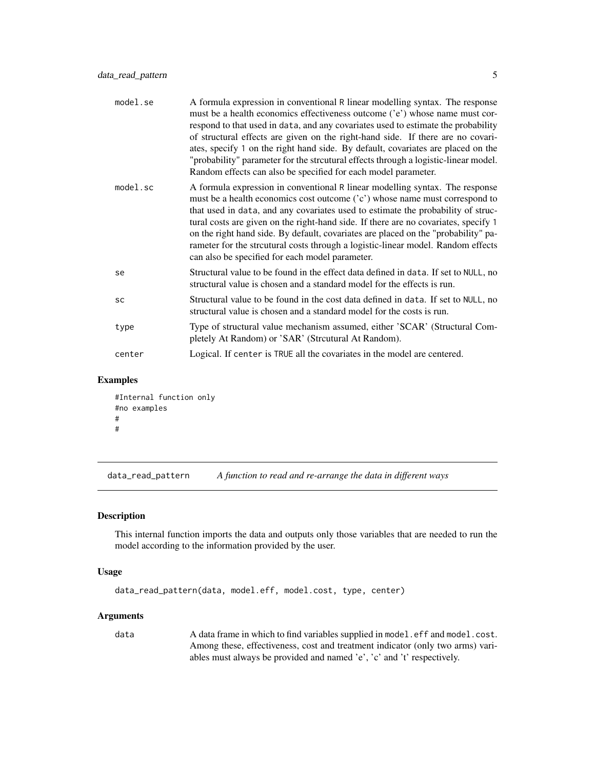<span id="page-4-0"></span>

| model.se    | A formula expression in conventional R linear modelling syntax. The response<br>must be a health economics effectiveness outcome ('e') whose name must cor-<br>respond to that used in data, and any covariates used to estimate the probability<br>of structural effects are given on the right-hand side. If there are no covari-<br>ates, specify 1 on the right hand side. By default, covariates are placed on the<br>"probability" parameter for the strcutural effects through a logistic-linear model.<br>Random effects can also be specified for each model parameter. |
|-------------|----------------------------------------------------------------------------------------------------------------------------------------------------------------------------------------------------------------------------------------------------------------------------------------------------------------------------------------------------------------------------------------------------------------------------------------------------------------------------------------------------------------------------------------------------------------------------------|
| $model$ .sc | A formula expression in conventional R linear modelling syntax. The response<br>must be a health economics cost outcome ('c') whose name must correspond to<br>that used in data, and any covariates used to estimate the probability of struc-<br>tural costs are given on the right-hand side. If there are no covariates, specify 1<br>on the right hand side. By default, covariates are placed on the "probability" pa-<br>rameter for the strcutural costs through a logistic-linear model. Random effects<br>can also be specified for each model parameter.              |
| se          | Structural value to be found in the effect data defined in data. If set to NULL, no<br>structural value is chosen and a standard model for the effects is run.                                                                                                                                                                                                                                                                                                                                                                                                                   |
| SC          | Structural value to be found in the cost data defined in data. If set to NULL, no<br>structural value is chosen and a standard model for the costs is run.                                                                                                                                                                                                                                                                                                                                                                                                                       |
| type        | Type of structural value mechanism assumed, either 'SCAR' (Structural Com-<br>pletely At Random) or 'SAR' (Strcutural At Random).                                                                                                                                                                                                                                                                                                                                                                                                                                                |
| center      | Logical. If center is TRUE all the covariates in the model are centered.                                                                                                                                                                                                                                                                                                                                                                                                                                                                                                         |
|             |                                                                                                                                                                                                                                                                                                                                                                                                                                                                                                                                                                                  |

```
#Internal function only
#no examples
#
#
```
data\_read\_pattern *A function to read and re-arrange the data in different ways*

#### Description

This internal function imports the data and outputs only those variables that are needed to run the model according to the information provided by the user.

#### Usage

```
data_read_pattern(data, model.eff, model.cost, type, center)
```
#### Arguments

data A data frame in which to find variables supplied in model.eff and model.cost. Among these, effectiveness, cost and treatment indicator (only two arms) variables must always be provided and named 'e', 'c' and 't' respectively.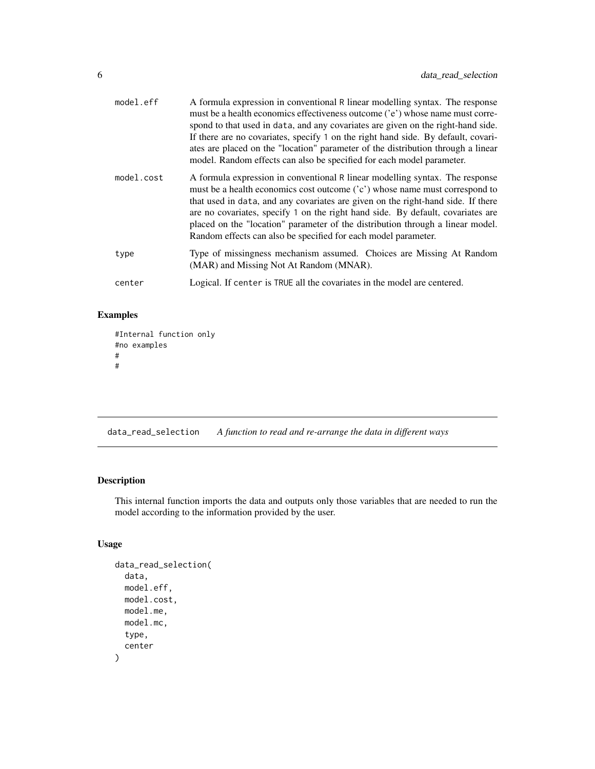<span id="page-5-0"></span>

| model.eff  | A formula expression in conventional R linear modelling syntax. The response<br>must be a health economics effectiveness outcome ('e') whose name must corre-<br>spond to that used in data, and any covariates are given on the right-hand side.<br>If there are no covariates, specify 1 on the right hand side. By default, covari-<br>ates are placed on the "location" parameter of the distribution through a linear<br>model. Random effects can also be specified for each model parameter. |
|------------|-----------------------------------------------------------------------------------------------------------------------------------------------------------------------------------------------------------------------------------------------------------------------------------------------------------------------------------------------------------------------------------------------------------------------------------------------------------------------------------------------------|
| model.cost | A formula expression in conventional R linear modelling syntax. The response<br>must be a health economics cost outcome $(cc)$ whose name must correspond to<br>that used in data, and any covariates are given on the right-hand side. If there<br>are no covariates, specify 1 on the right hand side. By default, covariates are<br>placed on the "location" parameter of the distribution through a linear model.<br>Random effects can also be specified for each model parameter.             |
| type       | Type of missingness mechanism assumed. Choices are Missing At Random<br>(MAR) and Missing Not At Random (MNAR).                                                                                                                                                                                                                                                                                                                                                                                     |
| center     | Logical. If center is TRUE all the covariates in the model are centered.                                                                                                                                                                                                                                                                                                                                                                                                                            |

```
#Internal function only
#no examples
#
#
```
data\_read\_selection *A function to read and re-arrange the data in different ways*

#### Description

This internal function imports the data and outputs only those variables that are needed to run the model according to the information provided by the user.

#### Usage

```
data_read_selection(
  data,
  model.eff,
  model.cost,
  model.me,
  model.mc,
  type,
  center
\mathcal{E}
```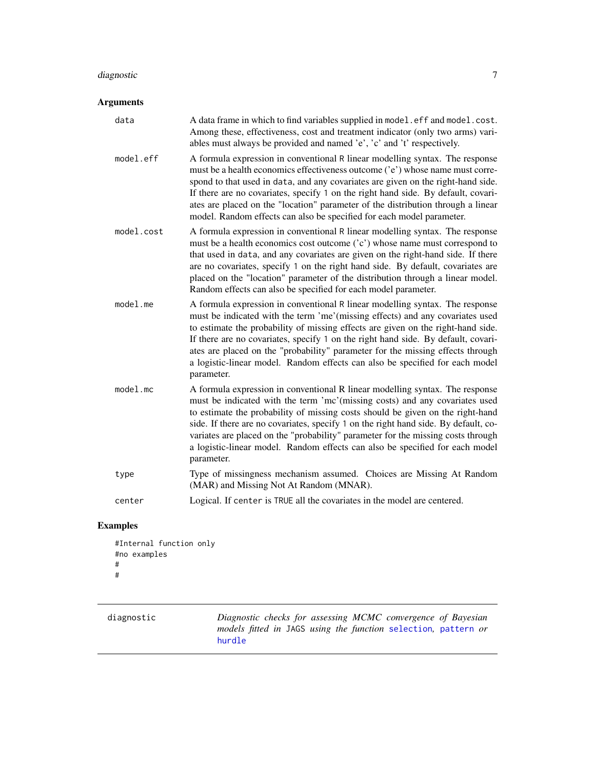### <span id="page-6-0"></span>diagnostic 7

#### Arguments

| data        | A data frame in which to find variables supplied in model.eff and model.cost.<br>Among these, effectiveness, cost and treatment indicator (only two arms) vari-<br>ables must always be provided and named 'e', 'c' and 't' respectively.                                                                                                                                                                                                                                                                               |
|-------------|-------------------------------------------------------------------------------------------------------------------------------------------------------------------------------------------------------------------------------------------------------------------------------------------------------------------------------------------------------------------------------------------------------------------------------------------------------------------------------------------------------------------------|
| model.eff   | A formula expression in conventional R linear modelling syntax. The response<br>must be a health economics effectiveness outcome ('e') whose name must corre-<br>spond to that used in data, and any covariates are given on the right-hand side.<br>If there are no covariates, specify 1 on the right hand side. By default, covari-<br>ates are placed on the "location" parameter of the distribution through a linear<br>model. Random effects can also be specified for each model parameter.                     |
| model.cost  | A formula expression in conventional R linear modelling syntax. The response<br>must be a health economics cost outcome ('c') whose name must correspond to<br>that used in data, and any covariates are given on the right-hand side. If there<br>are no covariates, specify 1 on the right hand side. By default, covariates are<br>placed on the "location" parameter of the distribution through a linear model.<br>Random effects can also be specified for each model parameter.                                  |
| $model$ .me | A formula expression in conventional R linear modelling syntax. The response<br>must be indicated with the term 'me' (missing effects) and any covariates used<br>to estimate the probability of missing effects are given on the right-hand side.<br>If there are no covariates, specify 1 on the right hand side. By default, covari-<br>ates are placed on the "probability" parameter for the missing effects through<br>a logistic-linear model. Random effects can also be specified for each model<br>parameter. |
| $model$ .mc | A formula expression in conventional R linear modelling syntax. The response<br>must be indicated with the term 'mc'(missing costs) and any covariates used<br>to estimate the probability of missing costs should be given on the right-hand<br>side. If there are no covariates, specify 1 on the right hand side. By default, co-<br>variates are placed on the "probability" parameter for the missing costs through<br>a logistic-linear model. Random effects can also be specified for each model<br>parameter.  |
| type        | Type of missingness mechanism assumed. Choices are Missing At Random<br>(MAR) and Missing Not At Random (MNAR).                                                                                                                                                                                                                                                                                                                                                                                                         |
| center      | Logical. If center is TRUE all the covariates in the model are centered.                                                                                                                                                                                                                                                                                                                                                                                                                                                |

## Examples

```
#Internal function only
#no examples
#
#
```
<span id="page-6-1"></span>

| diagnostic | Diagnostic checks for assessing MCMC convergence of Bayesian   |
|------------|----------------------------------------------------------------|
|            | models fitted in JAGS using the function selection, pattern or |
|            | hurdle                                                         |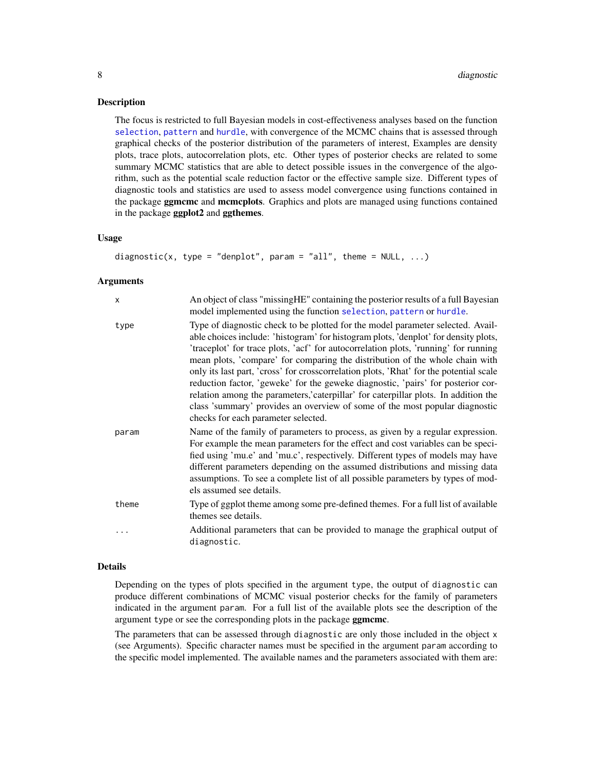#### <span id="page-7-0"></span>**Description**

The focus is restricted to full Bayesian models in cost-effectiveness analyses based on the function [selection](#page-40-1), [pattern](#page-21-1) and [hurdle](#page-10-1), with convergence of the MCMC chains that is assessed through graphical checks of the posterior distribution of the parameters of interest, Examples are density plots, trace plots, autocorrelation plots, etc. Other types of posterior checks are related to some summary MCMC statistics that are able to detect possible issues in the convergence of the algorithm, such as the potential scale reduction factor or the effective sample size. Different types of diagnostic tools and statistics are used to assess model convergence using functions contained in the package **ggmcmc** and **mcmcplots**. Graphics and plots are managed using functions contained in the package ggplot2 and ggthemes.

#### Usage

```
diagnostic(x, type = "denplot", param = "all", theme = NULL, \dots)
```
#### Arguments

| $\mathsf{x}$ | An object of class "missing HE" containing the posterior results of a full Bayesian<br>model implemented using the function selection, pattern or hurdle.                                                                                                                                                                                                                                                                                                                                                                                                                                                                                                                                                                               |
|--------------|-----------------------------------------------------------------------------------------------------------------------------------------------------------------------------------------------------------------------------------------------------------------------------------------------------------------------------------------------------------------------------------------------------------------------------------------------------------------------------------------------------------------------------------------------------------------------------------------------------------------------------------------------------------------------------------------------------------------------------------------|
| type         | Type of diagnostic check to be plotted for the model parameter selected. Avail-<br>able choices include: 'histogram' for histogram plots, 'denplot' for density plots,<br>'traceplot' for trace plots, 'acf' for autocorrelation plots, 'running' for running<br>mean plots, 'compare' for comparing the distribution of the whole chain with<br>only its last part, 'cross' for crosscorrelation plots, 'Rhat' for the potential scale<br>reduction factor, 'geweke' for the geweke diagnostic, 'pairs' for posterior cor-<br>relation among the parameters, caterpillar' for caterpillar plots. In addition the<br>class 'summary' provides an overview of some of the most popular diagnostic<br>checks for each parameter selected. |
| param        | Name of the family of parameters to process, as given by a regular expression.<br>For example the mean parameters for the effect and cost variables can be speci-<br>fied using 'mu.e' and 'mu.c', respectively. Different types of models may have<br>different parameters depending on the assumed distributions and missing data<br>assumptions. To see a complete list of all possible parameters by types of mod-<br>els assumed see details.                                                                                                                                                                                                                                                                                      |
| theme        | Type of ggplot theme among some pre-defined themes. For a full list of available<br>themes see details.                                                                                                                                                                                                                                                                                                                                                                                                                                                                                                                                                                                                                                 |
|              | Additional parameters that can be provided to manage the graphical output of<br>diagnostic.                                                                                                                                                                                                                                                                                                                                                                                                                                                                                                                                                                                                                                             |

#### Details

Depending on the types of plots specified in the argument type, the output of diagnostic can produce different combinations of MCMC visual posterior checks for the family of parameters indicated in the argument param. For a full list of the available plots see the description of the argument type or see the corresponding plots in the package ggmcmc.

The parameters that can be assessed through diagnostic are only those included in the object x (see Arguments). Specific character names must be specified in the argument param according to the specific model implemented. The available names and the parameters associated with them are: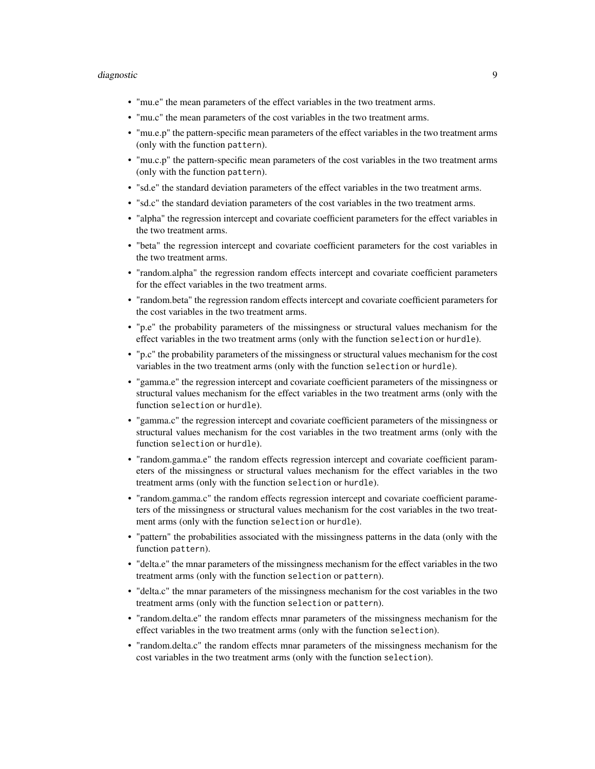#### diagnostic 9

- "mu.e" the mean parameters of the effect variables in the two treatment arms.
- "mu.c" the mean parameters of the cost variables in the two treatment arms.
- "mu.e.p" the pattern-specific mean parameters of the effect variables in the two treatment arms (only with the function pattern).
- "mu.c.p" the pattern-specific mean parameters of the cost variables in the two treatment arms (only with the function pattern).
- "sd.e" the standard deviation parameters of the effect variables in the two treatment arms.
- "sd.c" the standard deviation parameters of the cost variables in the two treatment arms.
- "alpha" the regression intercept and covariate coefficient parameters for the effect variables in the two treatment arms.
- "beta" the regression intercept and covariate coefficient parameters for the cost variables in the two treatment arms.
- "random.alpha" the regression random effects intercept and covariate coefficient parameters for the effect variables in the two treatment arms.
- "random.beta" the regression random effects intercept and covariate coefficient parameters for the cost variables in the two treatment arms.
- "p.e" the probability parameters of the missingness or structural values mechanism for the effect variables in the two treatment arms (only with the function selection or hurdle).
- "p.c" the probability parameters of the missingness or structural values mechanism for the cost variables in the two treatment arms (only with the function selection or hurdle).
- "gamma.e" the regression intercept and covariate coefficient parameters of the missingness or structural values mechanism for the effect variables in the two treatment arms (only with the function selection or hurdle).
- "gamma.c" the regression intercept and covariate coefficient parameters of the missingness or structural values mechanism for the cost variables in the two treatment arms (only with the function selection or hurdle).
- "random.gamma.e" the random effects regression intercept and covariate coefficient parameters of the missingness or structural values mechanism for the effect variables in the two treatment arms (only with the function selection or hurdle).
- "random.gamma.c" the random effects regression intercept and covariate coefficient parameters of the missingness or structural values mechanism for the cost variables in the two treatment arms (only with the function selection or hurdle).
- "pattern" the probabilities associated with the missingness patterns in the data (only with the function pattern).
- "delta.e" the mnar parameters of the missingness mechanism for the effect variables in the two treatment arms (only with the function selection or pattern).
- "delta.c" the mnar parameters of the missingness mechanism for the cost variables in the two treatment arms (only with the function selection or pattern).
- "random.delta.e" the random effects mnar parameters of the missingness mechanism for the effect variables in the two treatment arms (only with the function selection).
- "random.delta.c" the random effects mnar parameters of the missingness mechanism for the cost variables in the two treatment arms (only with the function selection).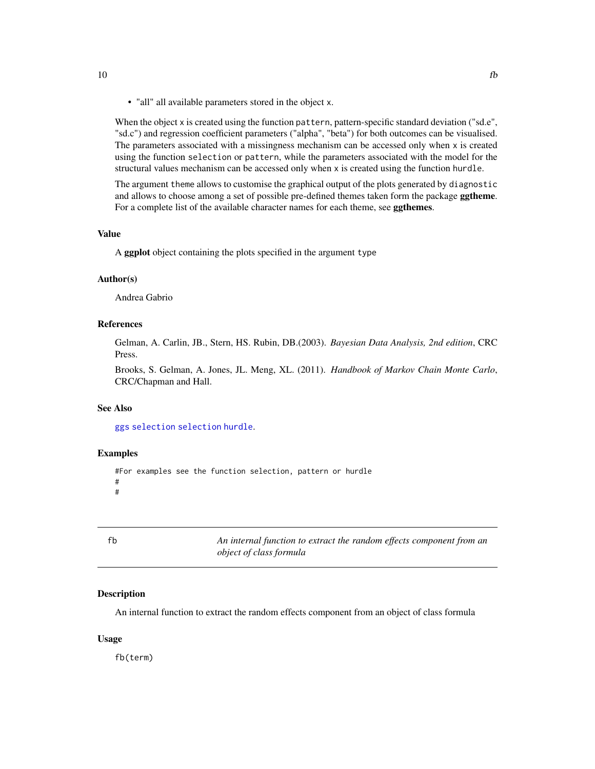<span id="page-9-0"></span>• "all" all available parameters stored in the object x.

When the object x is created using the function pattern, pattern-specific standard deviation ("sd.e", "sd.c") and regression coefficient parameters ("alpha", "beta") for both outcomes can be visualised. The parameters associated with a missingness mechanism can be accessed only when x is created using the function selection or pattern, while the parameters associated with the model for the structural values mechanism can be accessed only when x is created using the function hurdle.

The argument theme allows to customise the graphical output of the plots generated by diagnostic and allows to choose among a set of possible pre-defined themes taken form the package **ggtheme**. For a complete list of the available character names for each theme, see ggthemes.

#### Value

A ggplot object containing the plots specified in the argument type

#### Author(s)

Andrea Gabrio

#### References

Gelman, A. Carlin, JB., Stern, HS. Rubin, DB.(2003). *Bayesian Data Analysis, 2nd edition*, CRC Press.

Brooks, S. Gelman, A. Jones, JL. Meng, XL. (2011). *Handbook of Markov Chain Monte Carlo*, CRC/Chapman and Hall.

#### See Also

[ggs](#page-0-0) [selection](#page-40-1) [selection](#page-40-1) [hurdle](#page-10-1).

#### Examples

```
#For examples see the function selection, pattern or hurdle
#
#
```
fb *An internal function to extract the random effects component from an object of class formula*

#### Description

An internal function to extract the random effects component from an object of class formula

#### Usage

fb(term)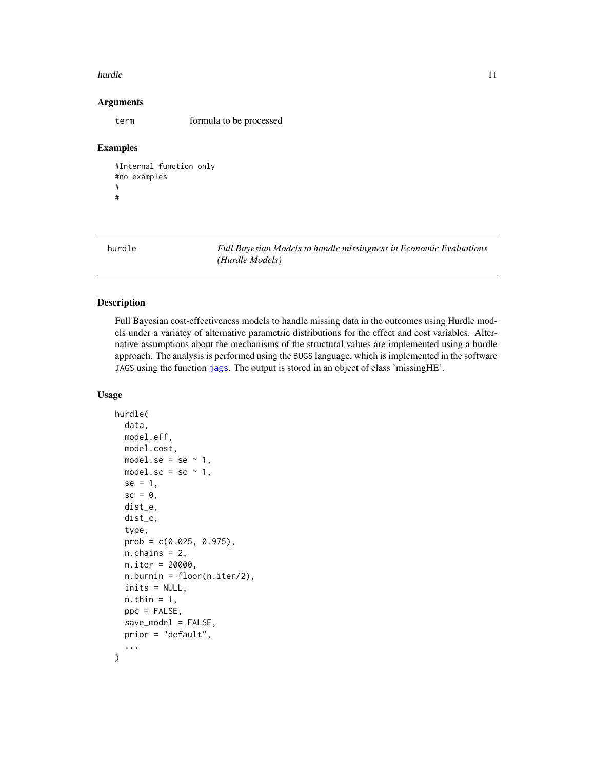#### <span id="page-10-0"></span>hurdle the contract of the contract of the contract of the contract of the contract of the contract of the contract of the contract of the contract of the contract of the contract of the contract of the contract of the con

#### Arguments

term formula to be processed

#### Examples

```
#Internal function only
#no examples
#
#
```
<span id="page-10-1"></span>hurdle *Full Bayesian Models to handle missingness in Economic Evaluations (Hurdle Models)*

#### Description

Full Bayesian cost-effectiveness models to handle missing data in the outcomes using Hurdle models under a variatey of alternative parametric distributions for the effect and cost variables. Alternative assumptions about the mechanisms of the structural values are implemented using a hurdle approach. The analysis is performed using the BUGS language, which is implemented in the software JAGS using the function [jags](#page-0-0). The output is stored in an object of class 'missingHE'.

#### Usage

```
hurdle(
  data,
  model.eff,
  model.cost,
  model.se = se \sim 1,
  model.sc = sc \sim 1,
  se = 1,
  sc = 0,
  dist_e,
  dist_c,
  type,
  prob = c(0.025, 0.975),
  n.chains = 2,
  n.iter = 20000,
  n.burnin = floor(n.iter/2),
  inits = NULL,
  n.thin = 1,
  ppc = FALSE,
  save_model = FALSE,
  prior = "default",
  ...
)
```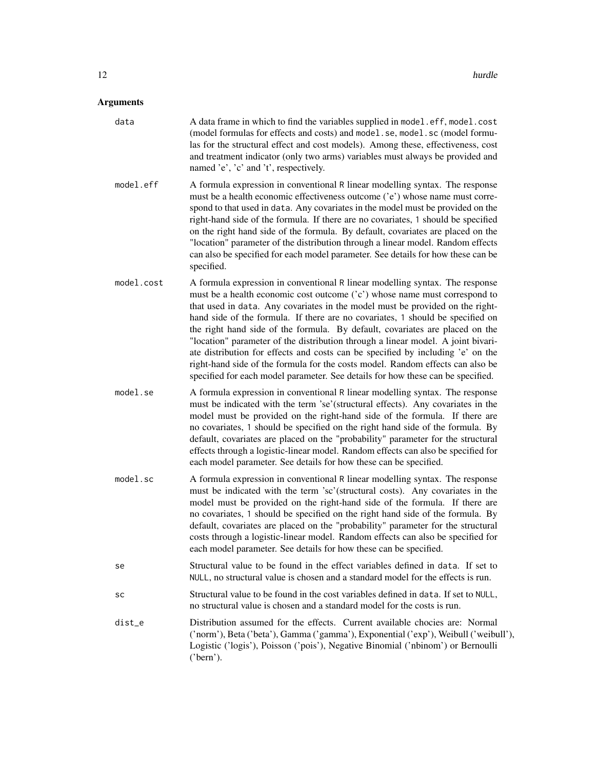- data A data frame in which to find the variables supplied in model.eff, model.cost (model formulas for effects and costs) and model.se, model.sc (model formulas for the structural effect and cost models). Among these, effectiveness, cost and treatment indicator (only two arms) variables must always be provided and named 'e', 'c' and 't', respectively.
- model.eff A formula expression in conventional R linear modelling syntax. The response must be a health economic effectiveness outcome ('e') whose name must correspond to that used in data. Any covariates in the model must be provided on the right-hand side of the formula. If there are no covariates, 1 should be specified on the right hand side of the formula. By default, covariates are placed on the "location" parameter of the distribution through a linear model. Random effects can also be specified for each model parameter. See details for how these can be specified.
- model.cost A formula expression in conventional R linear modelling syntax. The response must be a health economic cost outcome ('c') whose name must correspond to that used in data. Any covariates in the model must be provided on the righthand side of the formula. If there are no covariates, 1 should be specified on the right hand side of the formula. By default, covariates are placed on the "location" parameter of the distribution through a linear model. A joint bivariate distribution for effects and costs can be specified by including 'e' on the right-hand side of the formula for the costs model. Random effects can also be specified for each model parameter. See details for how these can be specified.
- model.se A formula expression in conventional R linear modelling syntax. The response must be indicated with the term 'se'(structural effects). Any covariates in the model must be provided on the right-hand side of the formula. If there are no covariates, 1 should be specified on the right hand side of the formula. By default, covariates are placed on the "probability" parameter for the structural effects through a logistic-linear model. Random effects can also be specified for each model parameter. See details for how these can be specified.
- model.sc A formula expression in conventional R linear modelling syntax. The response must be indicated with the term 'sc'(structural costs). Any covariates in the model must be provided on the right-hand side of the formula. If there are no covariates, 1 should be specified on the right hand side of the formula. By default, covariates are placed on the "probability" parameter for the structural costs through a logistic-linear model. Random effects can also be specified for each model parameter. See details for how these can be specified.
- se Structural value to be found in the effect variables defined in data. If set to NULL, no structural value is chosen and a standard model for the effects is run.
- sc Structural value to be found in the cost variables defined in data. If set to NULL, no structural value is chosen and a standard model for the costs is run.
- dist\_e Distribution assumed for the effects. Current available chocies are: Normal ('norm'), Beta ('beta'), Gamma ('gamma'), Exponential ('exp'), Weibull ('weibull'), Logistic ('logis'), Poisson ('pois'), Negative Binomial ('nbinom') or Bernoulli ('bern').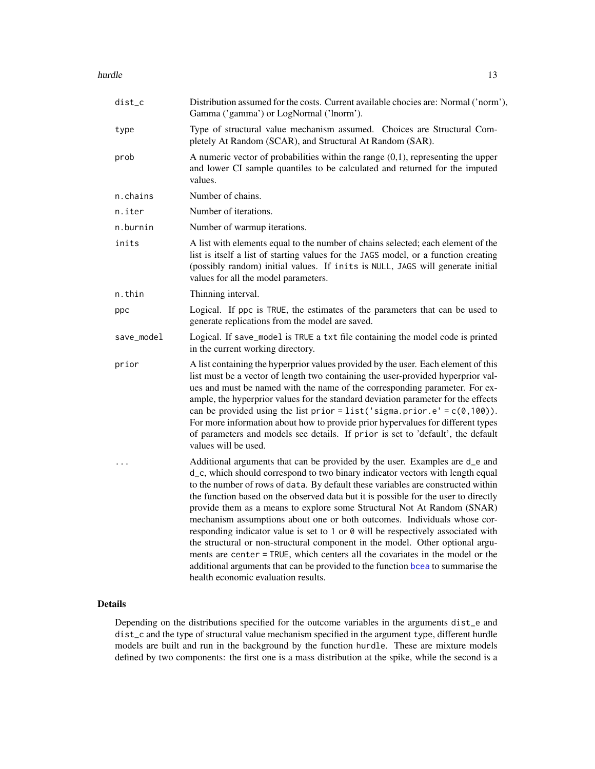#### <span id="page-12-0"></span>hurdle that the contract of the contract of the contract of the contract of the contract of the contract of the contract of the contract of the contract of the contract of the contract of the contract of the contract of th

| dist_c     | Distribution assumed for the costs. Current available chocies are: Normal ('norm'),<br>Gamma ('gamma') or LogNormal ('lnorm').                                                                                                                                                                                                                                                                                                                                                                                                                                                                                                                                                                                                                                                                                                                                                  |  |  |  |
|------------|---------------------------------------------------------------------------------------------------------------------------------------------------------------------------------------------------------------------------------------------------------------------------------------------------------------------------------------------------------------------------------------------------------------------------------------------------------------------------------------------------------------------------------------------------------------------------------------------------------------------------------------------------------------------------------------------------------------------------------------------------------------------------------------------------------------------------------------------------------------------------------|--|--|--|
| type       | Type of structural value mechanism assumed. Choices are Structural Com-<br>pletely At Random (SCAR), and Structural At Random (SAR).                                                                                                                                                                                                                                                                                                                                                                                                                                                                                                                                                                                                                                                                                                                                            |  |  |  |
| prob       | A numeric vector of probabilities within the range $(0,1)$ , representing the upper<br>and lower CI sample quantiles to be calculated and returned for the imputed<br>values.                                                                                                                                                                                                                                                                                                                                                                                                                                                                                                                                                                                                                                                                                                   |  |  |  |
| n.chains   | Number of chains.                                                                                                                                                                                                                                                                                                                                                                                                                                                                                                                                                                                                                                                                                                                                                                                                                                                               |  |  |  |
| n.iter     | Number of iterations.                                                                                                                                                                                                                                                                                                                                                                                                                                                                                                                                                                                                                                                                                                                                                                                                                                                           |  |  |  |
| n.burnin   | Number of warmup iterations.                                                                                                                                                                                                                                                                                                                                                                                                                                                                                                                                                                                                                                                                                                                                                                                                                                                    |  |  |  |
| inits      | A list with elements equal to the number of chains selected; each element of the<br>list is itself a list of starting values for the JAGS model, or a function creating<br>(possibly random) initial values. If inits is NULL, JAGS will generate initial<br>values for all the model parameters.                                                                                                                                                                                                                                                                                                                                                                                                                                                                                                                                                                               |  |  |  |
| n.thin     | Thinning interval.                                                                                                                                                                                                                                                                                                                                                                                                                                                                                                                                                                                                                                                                                                                                                                                                                                                              |  |  |  |
| ppc        | Logical. If ppc is TRUE, the estimates of the parameters that can be used to<br>generate replications from the model are saved.                                                                                                                                                                                                                                                                                                                                                                                                                                                                                                                                                                                                                                                                                                                                                 |  |  |  |
| save_model | Logical. If save_model is TRUE a txt file containing the model code is printed<br>in the current working directory.                                                                                                                                                                                                                                                                                                                                                                                                                                                                                                                                                                                                                                                                                                                                                             |  |  |  |
| prior      | A list containing the hyperprior values provided by the user. Each element of this<br>list must be a vector of length two containing the user-provided hyperprior val-<br>ues and must be named with the name of the corresponding parameter. For ex-<br>ample, the hyperprior values for the standard deviation parameter for the effects<br>can be provided using the list prior = list ('sigma.prior.e' = $c(\theta, 100)$ ).<br>For more information about how to provide prior hypervalues for different types<br>of parameters and models see details. If prior is set to 'default', the default<br>values will be used.                                                                                                                                                                                                                                                  |  |  |  |
| .          | Additional arguments that can be provided by the user. Examples are d_e and<br>d_c, which should correspond to two binary indicator vectors with length equal<br>to the number of rows of data. By default these variables are constructed within<br>the function based on the observed data but it is possible for the user to directly<br>provide them as a means to explore some Structural Not At Random (SNAR)<br>mechanism assumptions about one or both outcomes. Individuals whose cor-<br>responding indicator value is set to 1 or 0 will be respectively associated with<br>the structural or non-structural component in the model. Other optional argu-<br>ments are center = TRUE, which centers all the covariates in the model or the<br>additional arguments that can be provided to the function bcea to summarise the<br>health economic evaluation results. |  |  |  |

#### Details

Depending on the distributions specified for the outcome variables in the arguments dist\_e and dist\_c and the type of structural value mechanism specified in the argument type, different hurdle models are built and run in the background by the function hurdle. These are mixture models defined by two components: the first one is a mass distribution at the spike, while the second is a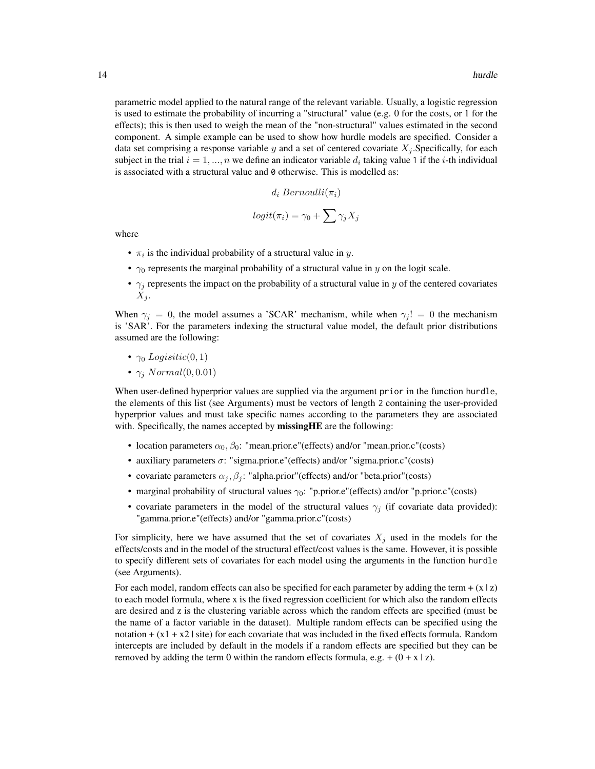parametric model applied to the natural range of the relevant variable. Usually, a logistic regression is used to estimate the probability of incurring a "structural" value (e.g. 0 for the costs, or 1 for the effects); this is then used to weigh the mean of the "non-structural" values estimated in the second component. A simple example can be used to show how hurdle models are specified. Consider a data set comprising a response variable y and a set of centered covariate  $X_j$ . Specifically, for each subject in the trial  $i = 1, ..., n$  we define an indicator variable  $d_i$  taking value 1 if the *i*-th individual is associated with a structural value and 0 otherwise. This is modelled as:

$$
d_i\ Bernoulli(\pi_i)
$$

$$
logit(\pi_i) = \gamma_0 + \sum \gamma_j X_j
$$

where

- $\pi_i$  is the individual probability of a structural value in y.
- $\gamma_0$  represents the marginal probability of a structural value in y on the logit scale.
- $\gamma_i$  represents the impact on the probability of a structural value in y of the centered covariates  $X_j$ .

When  $\gamma_i = 0$ , the model assumes a 'SCAR' mechanism, while when  $\gamma_i! = 0$  the mechanism is 'SAR'. For the parameters indexing the structural value model, the default prior distributions assumed are the following:

- $\gamma_0$  Logisitic(0, 1)
- $\gamma_i$  Normal $(0, 0.01)$

When user-defined hyperprior values are supplied via the argument prior in the function hurdle, the elements of this list (see Arguments) must be vectors of length 2 containing the user-provided hyperprior values and must take specific names according to the parameters they are associated with. Specifically, the names accepted by missingHE are the following:

- location parameters  $\alpha_0$ ,  $\beta_0$ : "mean.prior.e"(effects) and/or "mean.prior.c"(costs)
- auxiliary parameters  $\sigma$ : "sigma.prior.e"(effects) and/or "sigma.prior.c"(costs)
- covariate parameters  $\alpha_j, \beta_j$ : "alpha.prior"(effects) and/or "beta.prior"(costs)
- marginal probability of structural values  $\gamma_0$ : "p.prior.e"(effects) and/or "p.prior.c"(costs)
- covariate parameters in the model of the structural values  $\gamma_j$  (if covariate data provided): "gamma.prior.e"(effects) and/or "gamma.prior.c"(costs)

For simplicity, here we have assumed that the set of covariates  $X_j$  used in the models for the effects/costs and in the model of the structural effect/cost values is the same. However, it is possible to specify different sets of covariates for each model using the arguments in the function hurdle (see Arguments).

For each model, random effects can also be specified for each parameter by adding the term  $+(x \mid z)$ to each model formula, where x is the fixed regression coefficient for which also the random effects are desired and z is the clustering variable across which the random effects are specified (must be the name of a factor variable in the dataset). Multiple random effects can be specified using the notation  $+ (x1 + x2)$  site) for each covariate that was included in the fixed effects formula. Random intercepts are included by default in the models if a random effects are specified but they can be removed by adding the term 0 within the random effects formula, e.g.  $+(0 + x | z)$ .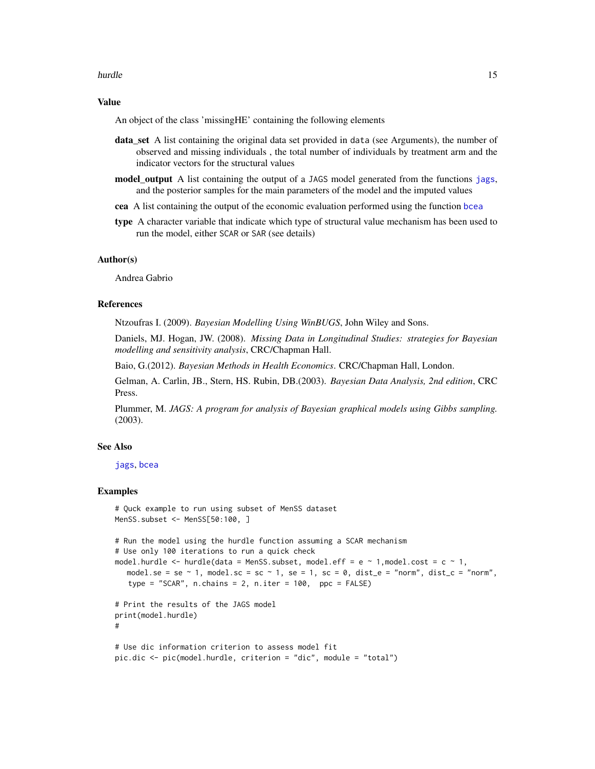#### <span id="page-14-0"></span>hurdle to the contract of the contract of the contract of the contract of the contract of the contract of the contract of the contract of the contract of the contract of the contract of the contract of the contract of the

#### Value

An object of the class 'missingHE' containing the following elements

- data\_set A list containing the original data set provided in data (see Arguments), the number of observed and missing individuals , the total number of individuals by treatment arm and the indicator vectors for the structural values
- model output A list containing the output of a JAGS model generated from the functions [jags](#page-0-0), and the posterior samples for the main parameters of the model and the imputed values
- cea A list containing the output of the economic evaluation performed using the function [bcea](#page-0-0)
- **type** A character variable that indicate which type of structural value mechanism has been used to run the model, either SCAR or SAR (see details)

#### Author(s)

Andrea Gabrio

#### References

Ntzoufras I. (2009). *Bayesian Modelling Using WinBUGS*, John Wiley and Sons.

Daniels, MJ. Hogan, JW. (2008). *Missing Data in Longitudinal Studies: strategies for Bayesian modelling and sensitivity analysis*, CRC/Chapman Hall.

Baio, G.(2012). *Bayesian Methods in Health Economics*. CRC/Chapman Hall, London.

Gelman, A. Carlin, JB., Stern, HS. Rubin, DB.(2003). *Bayesian Data Analysis, 2nd edition*, CRC Press.

Plummer, M. *JAGS: A program for analysis of Bayesian graphical models using Gibbs sampling.* (2003).

#### See Also

[jags](#page-0-0), [bcea](#page-0-0)

#### Examples

```
# Quck example to run using subset of MenSS dataset
MenSS.subset <- MenSS[50:100, ]
# Run the model using the hurdle function assuming a SCAR mechanism
# Use only 100 iterations to run a quick check
model.hurdle \leq hurdle(data = MenSS.subset, model.eff = e \sim 1, model.cost = c \sim 1,
   model.se = se \sim 1, model.sc = sc \sim 1, se = 1, sc = 0, dist_e = "norm", dist_c = "norm",
   type = "SCAR", n \cdot \text{chains} = 2, n \cdot \text{iter} = 100, ppc = FALSE)
# Print the results of the JAGS model
print(model.hurdle)
#
# Use dic information criterion to assess model fit
pic.dic <- pic(model.hurdle, criterion = "dic", module = "total")
```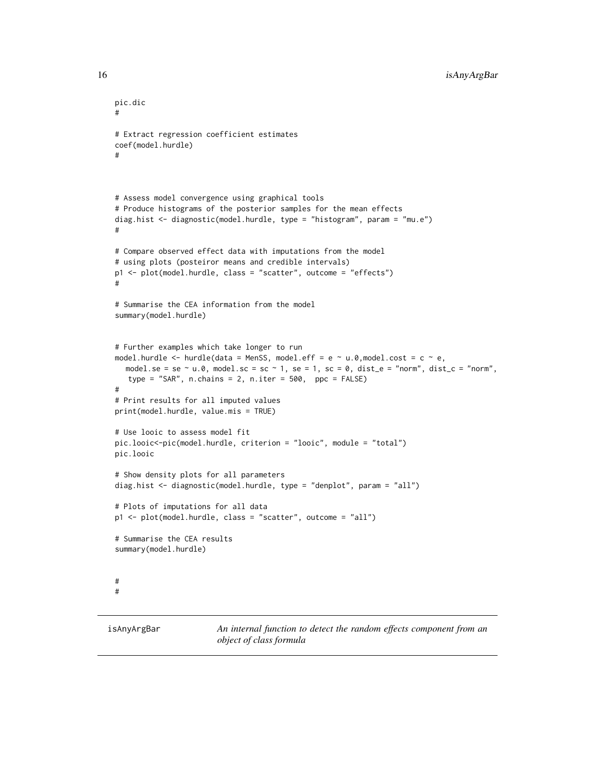```
pic.dic
#
# Extract regression coefficient estimates
coef(model.hurdle)
#
# Assess model convergence using graphical tools
# Produce histograms of the posterior samples for the mean effects
diag.hist <- diagnostic(model.hurdle, type = "histogram", param = "mu.e")
#
# Compare observed effect data with imputations from the model
# using plots (posteiror means and credible intervals)
p1 <- plot(model.hurdle, class = "scatter", outcome = "effects")
#
# Summarise the CEA information from the model
summary(model.hurdle)
# Further examples which take longer to run
model.hurdle <- hurdle(data = MenSS, model.eff = e ~ u.0,model.cost = c ~ e,
  model.se = se ~ u.0, model.sc = sc ~ 1, se = 1, sc = 0, dist_e = "norm", dist_c = "norm",
  type = "SAR", n \cdot \text{chains} = 2, n \cdot \text{iter} = 500, ppc = FALSE)
#
# Print results for all imputed values
print(model.hurdle, value.mis = TRUE)
# Use looic to assess model fit
pic.looic<-pic(model.hurdle, criterion = "looic", module = "total")
pic.looic
# Show density plots for all parameters
diag.hist <- diagnostic(model.hurdle, type = "denplot", param = "all")
# Plots of imputations for all data
p1 <- plot(model.hurdle, class = "scatter", outcome = "all")
# Summarise the CEA results
summary(model.hurdle)
#
#
```
isAnyArgBar *An internal function to detect the random effects component from an object of class formula*

<span id="page-15-0"></span>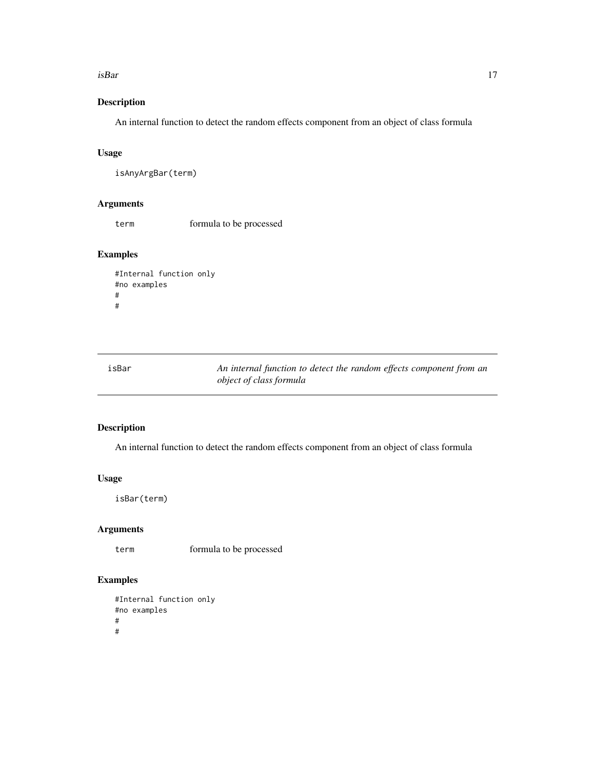#### <span id="page-16-0"></span>isBar 17

#### Description

An internal function to detect the random effects component from an object of class formula

#### Usage

```
isAnyArgBar(term)
```
#### Arguments

term formula to be processed

#### Examples

```
#Internal function only
#no examples
#
#
```
isBar *An internal function to detect the random effects component from an object of class formula*

#### Description

An internal function to detect the random effects component from an object of class formula

#### Usage

isBar(term)

#### Arguments

term formula to be processed

#### Examples

```
#Internal function only
#no examples
#
#
```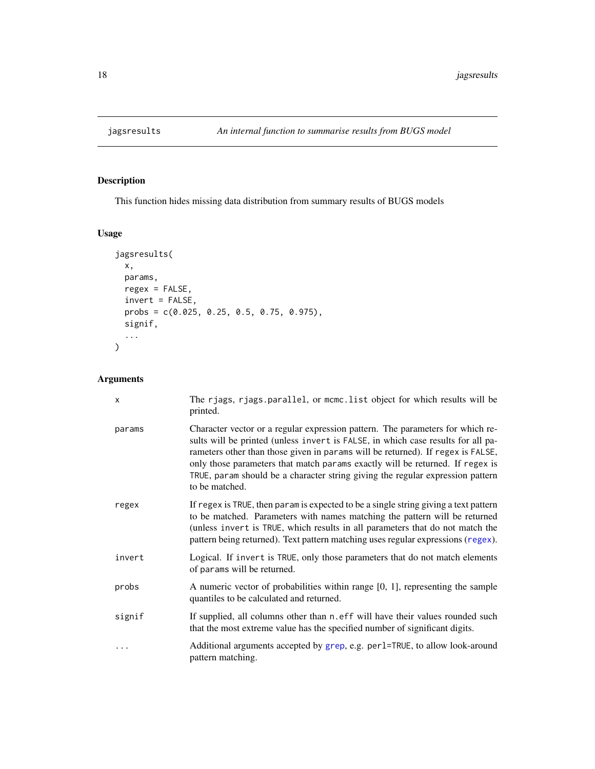<span id="page-17-0"></span>

#### Description

This function hides missing data distribution from summary results of BUGS models

#### Usage

```
jagsresults(
 x,
 params,
 regex = FALSE,
 invert = FALSE,
 probs = c(0.025, 0.25, 0.5, 0.75, 0.975),
 signif,
  ...
)
```

| x         | The rjags, rjags.parallel, or mcmc.list object for which results will be<br>printed.                                                                                                                                                                                                                                                                                                                                                       |
|-----------|--------------------------------------------------------------------------------------------------------------------------------------------------------------------------------------------------------------------------------------------------------------------------------------------------------------------------------------------------------------------------------------------------------------------------------------------|
| params    | Character vector or a regular expression pattern. The parameters for which re-<br>sults will be printed (unless invert is FALSE, in which case results for all pa-<br>rameters other than those given in params will be returned). If regex is FALSE,<br>only those parameters that match params exactly will be returned. If regex is<br>TRUE, param should be a character string giving the regular expression pattern<br>to be matched. |
| regex     | If regex is TRUE, then param is expected to be a single string giving a text pattern<br>to be matched. Parameters with names matching the pattern will be returned<br>(unless invert is TRUE, which results in all parameters that do not match the<br>pattern being returned). Text pattern matching uses regular expressions (regex).                                                                                                    |
| invert    | Logical. If invert is TRUE, only those parameters that do not match elements<br>of params will be returned.                                                                                                                                                                                                                                                                                                                                |
| probs     | A numeric vector of probabilities within range $[0, 1]$ , representing the sample<br>quantiles to be calculated and returned.                                                                                                                                                                                                                                                                                                              |
| signif    | If supplied, all columns other than n. eff will have their values rounded such<br>that the most extreme value has the specified number of significant digits.                                                                                                                                                                                                                                                                              |
| $\ddotsc$ | Additional arguments accepted by grep, e.g. per1=TRUE, to allow look-around<br>pattern matching.                                                                                                                                                                                                                                                                                                                                           |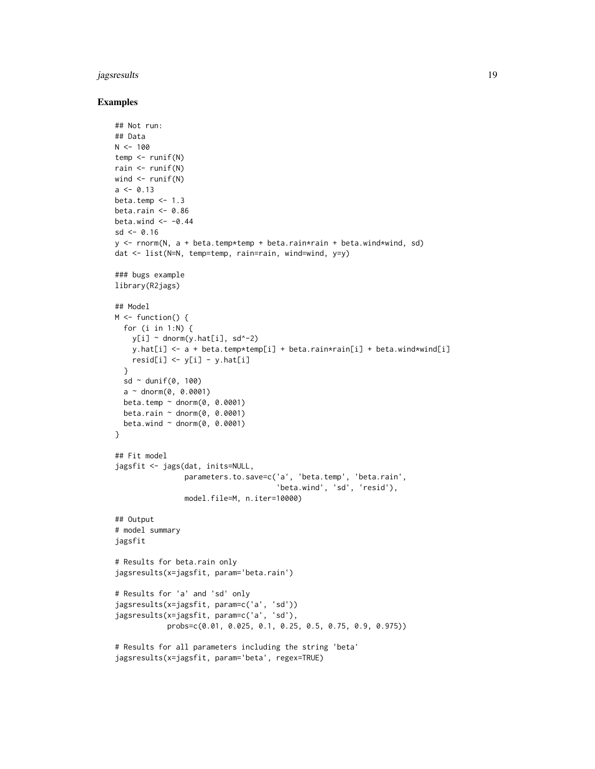#### jagsresults 19

#### Examples

```
## Not run:
## Data
N < - 100temp <- runif(N)
rain <- runif(N)
wind \leq runif(N)
a \le -0.13beta.temp \leq -1.3beta.rain <-0.86beta.wind \leq -0.44sd < -0.16y <- rnorm(N, a + beta.temp*temp + beta.rain*rain + beta.wind*wind, sd)
dat <- list(N=N, temp=temp, rain=rain, wind=wind, y=y)
### bugs example
library(R2jags)
## Model
M \leftarrow function() {
 for (i in 1:N) {
    y[i] ~ dnorm(y.hat[i], sd^-2)
    y.hat[i] <- a + beta.temp*temp[i] + beta.rain*rain[i] + beta.wind*wind[i]
    resid[i] \leftarrow y[i] - y.hat[i]}
  sd \sim dunif(0, 100)
  a \sim dnorm(0, 0.0001)beta.temp \sim dnorm(0, 0.0001)
  beta.rain \sim dnorm(0, 0.0001)
  beta.wind \sim dnorm(0, 0.0001)
}
## Fit model
jagsfit <- jags(dat, inits=NULL,
                parameters.to.save=c('a', 'beta.temp', 'beta.rain',
                                       'beta.wind', 'sd', 'resid'),
                model.file=M, n.iter=10000)
## Output
# model summary
jagsfit
# Results for beta.rain only
jagsresults(x=jagsfit, param='beta.rain')
# Results for 'a' and 'sd' only
jagsresults(x=jagsfit, param=c('a', 'sd'))
jagsresults(x=jagsfit, param=c('a', 'sd'),
            probs=c(0.01, 0.025, 0.1, 0.25, 0.5, 0.75, 0.9, 0.975))
# Results for all parameters including the string 'beta'
jagsresults(x=jagsfit, param='beta', regex=TRUE)
```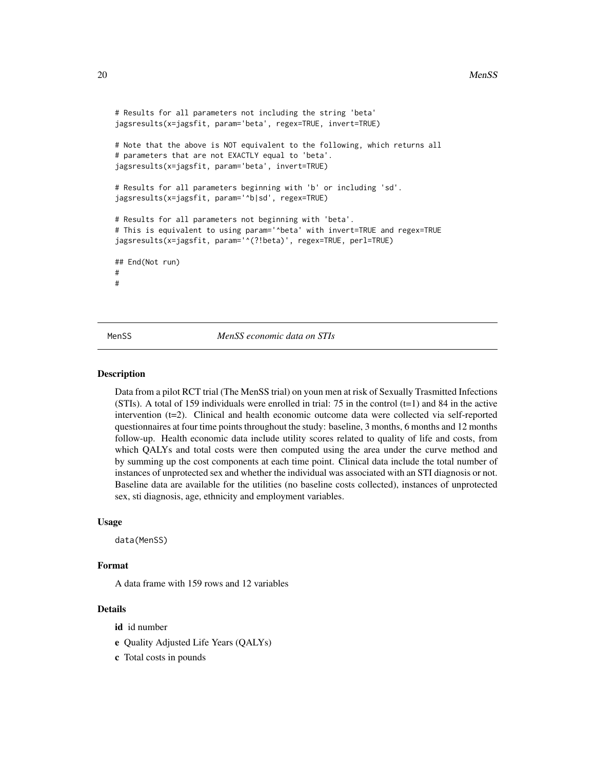```
# Results for all parameters not including the string 'beta'
jagsresults(x=jagsfit, param='beta', regex=TRUE, invert=TRUE)
# Note that the above is NOT equivalent to the following, which returns all
# parameters that are not EXACTLY equal to 'beta'.
jagsresults(x=jagsfit, param='beta', invert=TRUE)
# Results for all parameters beginning with 'b' or including 'sd'.
jagsresults(x=jagsfit, param='^b|sd', regex=TRUE)
# Results for all parameters not beginning with 'beta'.
# This is equivalent to using param='^beta' with invert=TRUE and regex=TRUE
jagsresults(x=jagsfit, param='^(?!beta)', regex=TRUE, perl=TRUE)
## End(Not run)
#
#
```
MenSS *MenSS economic data on STIs*

#### Description

Data from a pilot RCT trial (The MenSS trial) on youn men at risk of Sexually Trasmitted Infections (STIs). A total of 159 individuals were enrolled in trial: 75 in the control  $(t=1)$  and 84 in the active intervention (t=2). Clinical and health economic outcome data were collected via self-reported questionnaires at four time points throughout the study: baseline, 3 months, 6 months and 12 months follow-up. Health economic data include utility scores related to quality of life and costs, from which QALYs and total costs were then computed using the area under the curve method and by summing up the cost components at each time point. Clinical data include the total number of instances of unprotected sex and whether the individual was associated with an STI diagnosis or not. Baseline data are available for the utilities (no baseline costs collected), instances of unprotected sex, sti diagnosis, age, ethnicity and employment variables.

#### Usage

data(MenSS)

#### Format

A data frame with 159 rows and 12 variables

#### Details

id id number

- e Quality Adjusted Life Years (QALYs)
- c Total costs in pounds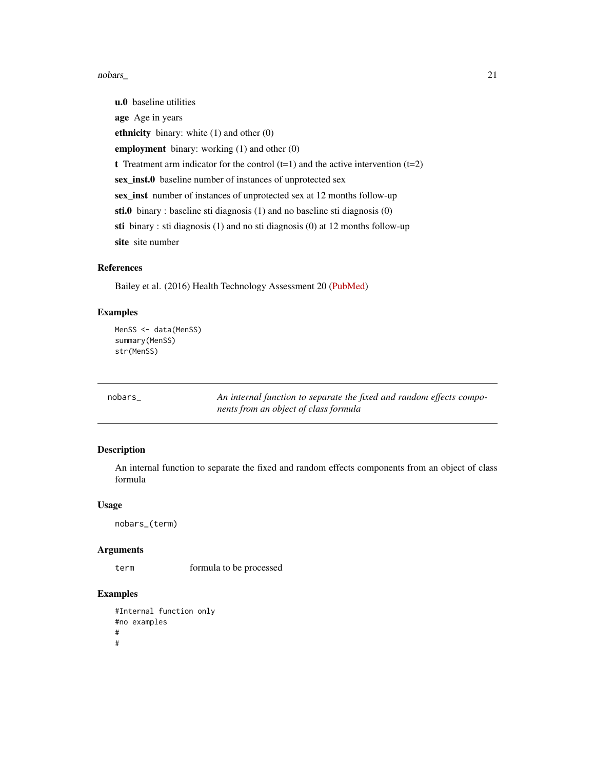#### <span id="page-20-0"></span>nobars\_ 21

u.0 baseline utilities age Age in years ethnicity binary: white (1) and other (0) employment binary: working (1) and other (0) t Treatment arm indicator for the control  $(t=1)$  and the active intervention  $(t=2)$ sex\_inst.0 baseline number of instances of unprotected sex sex\_inst number of instances of unprotected sex at 12 months follow-up sti.0 binary : baseline sti diagnosis (1) and no baseline sti diagnosis (0) sti binary : sti diagnosis (1) and no sti diagnosis (0) at 12 months follow-up site site number

#### References

Bailey et al. (2016) Health Technology Assessment 20 [\(PubMed\)](https://www.ncbi.nlm.nih.gov/pmc/articles/PMC5204131/)

#### Examples

```
MenSS <- data(MenSS)
summary(MenSS)
str(MenSS)
```
nobars\_ *An internal function to separate the fixed and random effects components from an object of class formula*

#### Description

An internal function to separate the fixed and random effects components from an object of class formula

#### Usage

nobars\_(term)

#### Arguments

term formula to be processed

#### Examples

#Internal function only #no examples # #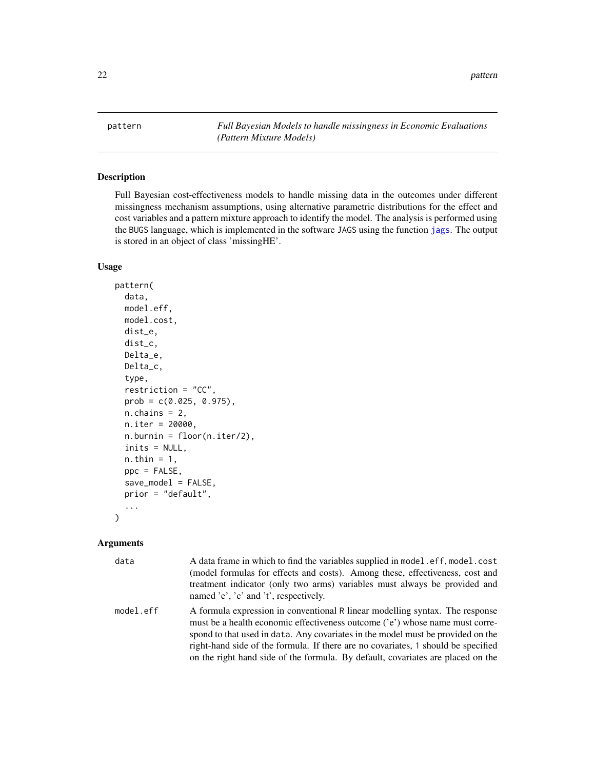<span id="page-21-1"></span><span id="page-21-0"></span>pattern *Full Bayesian Models to handle missingness in Economic Evaluations (Pattern Mixture Models)*

#### Description

Full Bayesian cost-effectiveness models to handle missing data in the outcomes under different missingness mechanism assumptions, using alternative parametric distributions for the effect and cost variables and a pattern mixture approach to identify the model. The analysis is performed using the BUGS language, which is implemented in the software JAGS using the function [jags](#page-0-0). The output is stored in an object of class 'missingHE'.

#### Usage

```
pattern(
  data,
  model.eff,
  model.cost,
  dist_e,
  dist_c,
  Delta_e,
  Delta_c,
  type,
  restriction = "CC",
  prob = c(0.025, 0.975),
  n.chains = 2,
  n.iter = 20000,
  n.burnin = floor(n.iter/2),
  inits = NULL,
  n.thin = 1,
  ppc = FALSE,
  save_model = FALSE,
  prior = "default",
  ...
)
```

| data      | A data frame in which to find the variables supplied in model.eff, model.cost<br>(model formulas for effects and costs). Among these, effectiveness, cost and<br>treatment indicator (only two arms) variables must always be provided and<br>named 'e', 'c' and 't', respectively.                                                                                                                                     |
|-----------|-------------------------------------------------------------------------------------------------------------------------------------------------------------------------------------------------------------------------------------------------------------------------------------------------------------------------------------------------------------------------------------------------------------------------|
| model.eff | A formula expression in conventional R linear modelling syntax. The response<br>must be a health economic effectiveness outcome ('e') whose name must corre-<br>spond to that used in data. Any covariates in the model must be provided on the<br>right-hand side of the formula. If there are no covariates, 1 should be specified<br>on the right hand side of the formula. By default, covariates are placed on the |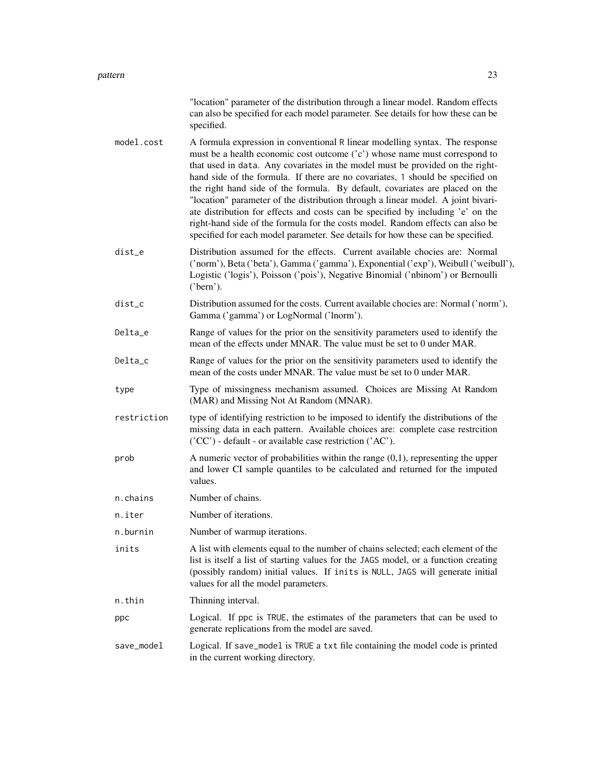|             | "location" parameter of the distribution through a linear model. Random effects<br>can also be specified for each model parameter. See details for how these can be<br>specified.                                                                                                                                                                                                                                                                                                                                                                                                                                                                                                                                                                         |
|-------------|-----------------------------------------------------------------------------------------------------------------------------------------------------------------------------------------------------------------------------------------------------------------------------------------------------------------------------------------------------------------------------------------------------------------------------------------------------------------------------------------------------------------------------------------------------------------------------------------------------------------------------------------------------------------------------------------------------------------------------------------------------------|
| model.cost  | A formula expression in conventional R linear modelling syntax. The response<br>must be a health economic cost outcome ('c') whose name must correspond to<br>that used in data. Any covariates in the model must be provided on the right-<br>hand side of the formula. If there are no covariates, 1 should be specified on<br>the right hand side of the formula. By default, covariates are placed on the<br>"location" parameter of the distribution through a linear model. A joint bivari-<br>ate distribution for effects and costs can be specified by including 'e' on the<br>right-hand side of the formula for the costs model. Random effects can also be<br>specified for each model parameter. See details for how these can be specified. |
| dist_e      | Distribution assumed for the effects. Current available chocies are: Normal<br>('norm'), Beta ('beta'), Gamma ('gamma'), Exponential ('exp'), Weibull ('weibull'),<br>Logistic ('logis'), Poisson ('pois'), Negative Binomial ('nbinom') or Bernoulli<br>('bern').                                                                                                                                                                                                                                                                                                                                                                                                                                                                                        |
| dist_c      | Distribution assumed for the costs. Current available chocies are: Normal ('norm'),<br>Gamma ('gamma') or LogNormal ('lnorm').                                                                                                                                                                                                                                                                                                                                                                                                                                                                                                                                                                                                                            |
| Delta e     | Range of values for the prior on the sensitivity parameters used to identify the<br>mean of the effects under MNAR. The value must be set to 0 under MAR.                                                                                                                                                                                                                                                                                                                                                                                                                                                                                                                                                                                                 |
| Delta_c     | Range of values for the prior on the sensitivity parameters used to identify the<br>mean of the costs under MNAR. The value must be set to 0 under MAR.                                                                                                                                                                                                                                                                                                                                                                                                                                                                                                                                                                                                   |
| type        | Type of missingness mechanism assumed. Choices are Missing At Random<br>(MAR) and Missing Not At Random (MNAR).                                                                                                                                                                                                                                                                                                                                                                                                                                                                                                                                                                                                                                           |
| restriction | type of identifying restriction to be imposed to identify the distributions of the<br>missing data in each pattern. Available choices are: complete case restrcition<br>('CC') - default - or available case restriction ('AC').                                                                                                                                                                                                                                                                                                                                                                                                                                                                                                                          |
| prob        | A numeric vector of probabilities within the range $(0,1)$ , representing the upper<br>and lower CI sample quantiles to be calculated and returned for the imputed<br>values.                                                                                                                                                                                                                                                                                                                                                                                                                                                                                                                                                                             |
| n.chains    | Number of chains.                                                                                                                                                                                                                                                                                                                                                                                                                                                                                                                                                                                                                                                                                                                                         |
| n.iter      | Number of iterations.                                                                                                                                                                                                                                                                                                                                                                                                                                                                                                                                                                                                                                                                                                                                     |
| n.burnin    | Number of warmup iterations.                                                                                                                                                                                                                                                                                                                                                                                                                                                                                                                                                                                                                                                                                                                              |
| inits       | A list with elements equal to the number of chains selected; each element of the<br>list is itself a list of starting values for the JAGS model, or a function creating<br>(possibly random) initial values. If inits is NULL, JAGS will generate initial<br>values for all the model parameters.                                                                                                                                                                                                                                                                                                                                                                                                                                                         |
| n.thin      | Thinning interval.                                                                                                                                                                                                                                                                                                                                                                                                                                                                                                                                                                                                                                                                                                                                        |
| ppc         | Logical. If ppc is TRUE, the estimates of the parameters that can be used to<br>generate replications from the model are saved.                                                                                                                                                                                                                                                                                                                                                                                                                                                                                                                                                                                                                           |
| save_model  | Logical. If save_model is TRUE a txt file containing the model code is printed<br>in the current working directory.                                                                                                                                                                                                                                                                                                                                                                                                                                                                                                                                                                                                                                       |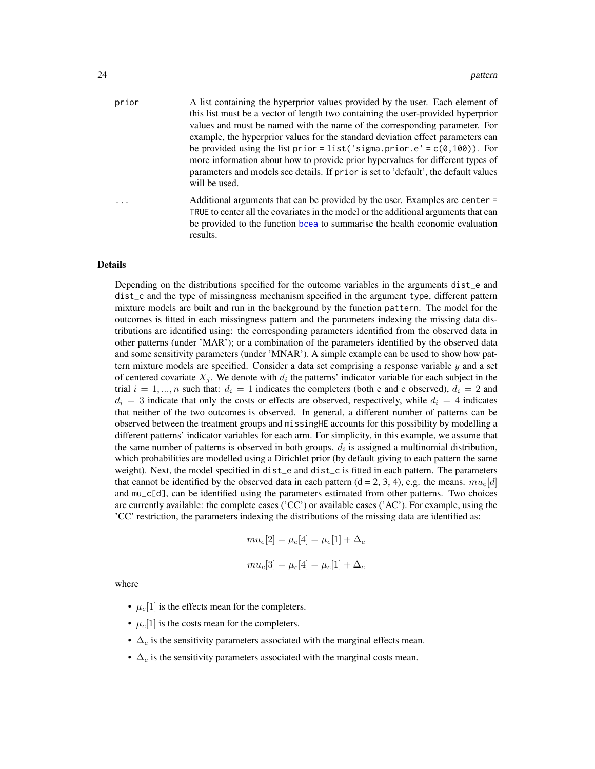<span id="page-23-0"></span>

| prior | A list containing the hyperprior values provided by the user. Each element of       |
|-------|-------------------------------------------------------------------------------------|
|       | this list must be a vector of length two containing the user-provided hyperprior    |
|       | values and must be named with the name of the corresponding parameter. For          |
|       | example, the hyperprior values for the standard deviation effect parameters can     |
|       | be provided using the list prior = list ('sigma.prior.e' = $c(\theta, 100)$ ). For  |
|       | more information about how to provide prior hypervalues for different types of      |
|       | parameters and models see details. If prior is set to 'default', the default values |
|       | will be used.                                                                       |
|       | Additional arguments that can be provided by the user. Examples are center =        |
|       | TRUE to center all the covariates in the model or the additional arguments that can |

be provided to the function [bcea](#page-0-0) to summarise the health economic evaluation

Details

results.

Depending on the distributions specified for the outcome variables in the arguments dist\_e and dist\_c and the type of missingness mechanism specified in the argument type, different pattern mixture models are built and run in the background by the function pattern. The model for the outcomes is fitted in each missingness pattern and the parameters indexing the missing data distributions are identified using: the corresponding parameters identified from the observed data in other patterns (under 'MAR'); or a combination of the parameters identified by the observed data and some sensitivity parameters (under 'MNAR'). A simple example can be used to show how pattern mixture models are specified. Consider a data set comprising a response variable  $y$  and a set of centered covariate  $X_j$ . We denote with  $d_i$  the patterns' indicator variable for each subject in the trial  $i = 1, ..., n$  such that:  $d_i = 1$  indicates the completers (both e and c observed),  $d_i = 2$  and  $d_i = 3$  indicate that only the costs or effects are observed, respectively, while  $d_i = 4$  indicates that neither of the two outcomes is observed. In general, a different number of patterns can be observed between the treatment groups and missingHE accounts for this possibility by modelling a different patterns' indicator variables for each arm. For simplicity, in this example, we assume that the same number of patterns is observed in both groups.  $d_i$  is assigned a multinomial distribution, which probabilities are modelled using a Dirichlet prior (by default giving to each pattern the same weight). Next, the model specified in dist\_e and dist\_c is fitted in each pattern. The parameters that cannot be identified by the observed data in each pattern (d = 2, 3, 4), e.g. the means.  $mu_e[d]$ and mu\_c[d], can be identified using the parameters estimated from other patterns. Two choices are currently available: the complete cases ('CC') or available cases ('AC'). For example, using the 'CC' restriction, the parameters indexing the distributions of the missing data are identified as:

$$
mu_e[2] = \mu_e[4] = \mu_e[1] + \Delta_e
$$
  
 $mu_c[3] = \mu_c[4] = \mu_c[1] + \Delta_c$ 

where

- $\mu_e[1]$  is the effects mean for the completers.
- $\mu_c[1]$  is the costs mean for the completers.
- $\Delta_e$  is the sensitivity parameters associated with the marginal effects mean.
- $\Delta_c$  is the sensitivity parameters associated with the marginal costs mean.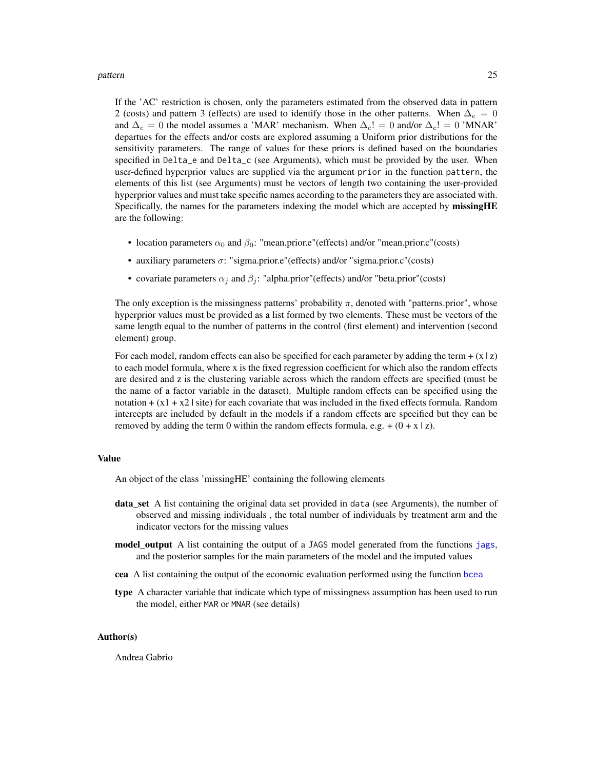#### <span id="page-24-0"></span>pattern 25

If the 'AC' restriction is chosen, only the parameters estimated from the observed data in pattern 2 (costs) and pattern 3 (effects) are used to identify those in the other patterns. When  $\Delta_e = 0$ and  $\Delta_c = 0$  the model assumes a 'MAR' mechanism. When  $\Delta_c! = 0$  and/or  $\Delta_c! = 0$  'MNAR' departues for the effects and/or costs are explored assuming a Uniform prior distributions for the sensitivity parameters. The range of values for these priors is defined based on the boundaries specified in Delta\_e and Delta\_c (see Arguments), which must be provided by the user. When user-defined hyperprior values are supplied via the argument prior in the function pattern, the elements of this list (see Arguments) must be vectors of length two containing the user-provided hyperprior values and must take specific names according to the parameters they are associated with. Specifically, the names for the parameters indexing the model which are accepted by missingHE are the following:

- location parameters  $\alpha_0$  and  $\beta_0$ : "mean.prior.e"(effects) and/or "mean.prior.c"(costs)
- auxiliary parameters  $\sigma$ : "sigma.prior.e"(effects) and/or "sigma.prior.c"(costs)
- covariate parameters  $\alpha_i$  and  $\beta_i$ : "alpha.prior"(effects) and/or "beta.prior"(costs)

The only exception is the missingness patterns' probability  $\pi$ , denoted with "patterns.prior", whose hyperprior values must be provided as a list formed by two elements. These must be vectors of the same length equal to the number of patterns in the control (first element) and intervention (second element) group.

For each model, random effects can also be specified for each parameter by adding the term  $+(x \mid z)$ to each model formula, where x is the fixed regression coefficient for which also the random effects are desired and z is the clustering variable across which the random effects are specified (must be the name of a factor variable in the dataset). Multiple random effects can be specified using the notation +  $(x1 + x2)$  site) for each covariate that was included in the fixed effects formula. Random intercepts are included by default in the models if a random effects are specified but they can be removed by adding the term 0 within the random effects formula, e.g. +  $(0 + x \mid z)$ .

#### Value

An object of the class 'missingHE' containing the following elements

- data\_set A list containing the original data set provided in data (see Arguments), the number of observed and missing individuals , the total number of individuals by treatment arm and the indicator vectors for the missing values
- model\_output A list containing the output of a JAGS model generated from the functions [jags](#page-0-0), and the posterior samples for the main parameters of the model and the imputed values
- cea A list containing the output of the economic evaluation performed using the function [bcea](#page-0-0)
- type A character variable that indicate which type of missingness assumption has been used to run the model, either MAR or MNAR (see details)

#### Author(s)

Andrea Gabrio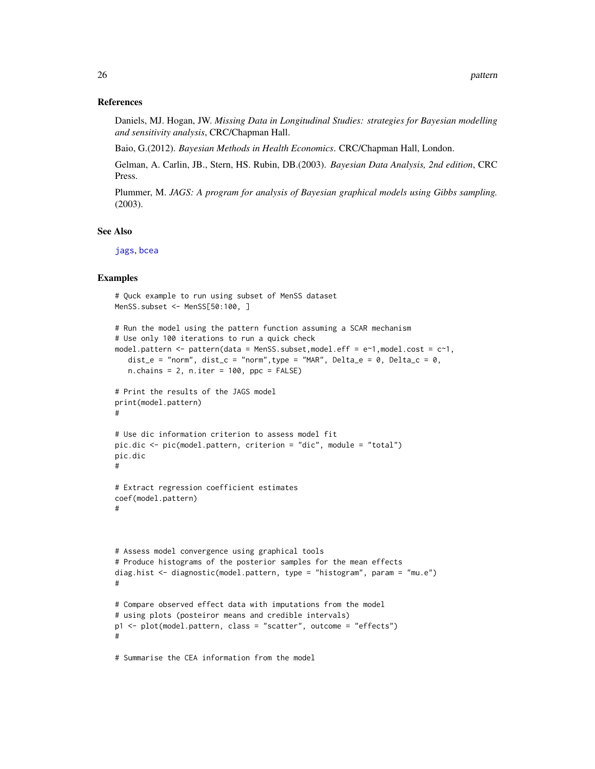#### <span id="page-25-0"></span>References

Daniels, MJ. Hogan, JW. *Missing Data in Longitudinal Studies: strategies for Bayesian modelling and sensitivity analysis*, CRC/Chapman Hall.

Baio, G.(2012). *Bayesian Methods in Health Economics*. CRC/Chapman Hall, London.

Gelman, A. Carlin, JB., Stern, HS. Rubin, DB.(2003). *Bayesian Data Analysis, 2nd edition*, CRC Press.

Plummer, M. *JAGS: A program for analysis of Bayesian graphical models using Gibbs sampling.* (2003).

#### See Also

[jags](#page-0-0), [bcea](#page-0-0)

#### Examples

```
# Quck example to run using subset of MenSS dataset
MenSS.subset <- MenSS[50:100, ]
# Run the model using the pattern function assuming a SCAR mechanism
# Use only 100 iterations to run a quick check
model.pattern <- pattern(data = MenSS.subset,model.eff = e~1,model.cost = c~1,
   dist_e = "norm", dist_c = "norm", type = "MAR", Delta_e = 0, Delta_c = 0,
   n.chains = 2, n.iter = 100, ppc = FALSE)
# Print the results of the JAGS model
print(model.pattern)
#
# Use dic information criterion to assess model fit
pic.dic <- pic(model.pattern, criterion = "dic", module = "total")
pic.dic
#
# Extract regression coefficient estimates
coef(model.pattern)
#
# Assess model convergence using graphical tools
# Produce histograms of the posterior samples for the mean effects
diag.hist <- diagnostic(model.pattern, type = "histogram", param = "mu.e")
#
# Compare observed effect data with imputations from the model
# using plots (posteiror means and credible intervals)
p1 <- plot(model.pattern, class = "scatter", outcome = "effects")
#
# Summarise the CEA information from the model
```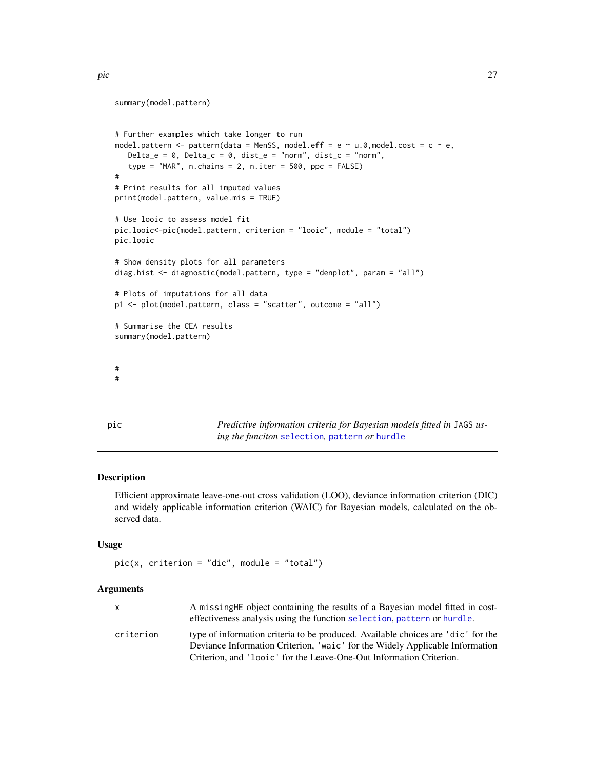```
summary(model.pattern)
# Further examples which take longer to run
model.pattern <- pattern(data = MenSS, model.eff = e \sim u.0,model.cost = c \sim e,
   Delta_e = 0, Delta_c = 0, dist_e = "norm", dist_c = "norm",
   type = "MAR", n.chains = 2, n.iter = 500, ppc = FALSE)
#
# Print results for all imputed values
print(model.pattern, value.mis = TRUE)
# Use looic to assess model fit
pic.looic<-pic(model.pattern, criterion = "looic", module = "total")
pic.looic
# Show density plots for all parameters
diag.hist <- diagnostic(model.pattern, type = "denplot", param = "all")
# Plots of imputations for all data
p1 <- plot(model.pattern, class = "scatter", outcome = "all")
# Summarise the CEA results
summary(model.pattern)
#
#
```
pic *Predictive information criteria for Bayesian models fitted in* JAGS *using the funciton* [selection](#page-40-1)*,* [pattern](#page-21-1) *or* [hurdle](#page-10-1)

#### Description

Efficient approximate leave-one-out cross validation (LOO), deviance information criterion (DIC) and widely applicable information criterion (WAIC) for Bayesian models, calculated on the observed data.

#### Usage

```
pic(x, criterion = "dic", module = "total")
```

| x         | A missing HE object containing the results of a Bayesian model fitted in cost-   |
|-----------|----------------------------------------------------------------------------------|
|           | effectiveness analysis using the function selection, pattern or hurdle.          |
| criterion | type of information criteria to be produced. Available choices are 'dic' for the |
|           | Deviance Information Criterion, 'waic' for the Widely Applicable Information     |
|           | Criterion, and 'loojc' for the Leave-One-Out Information Criterion.              |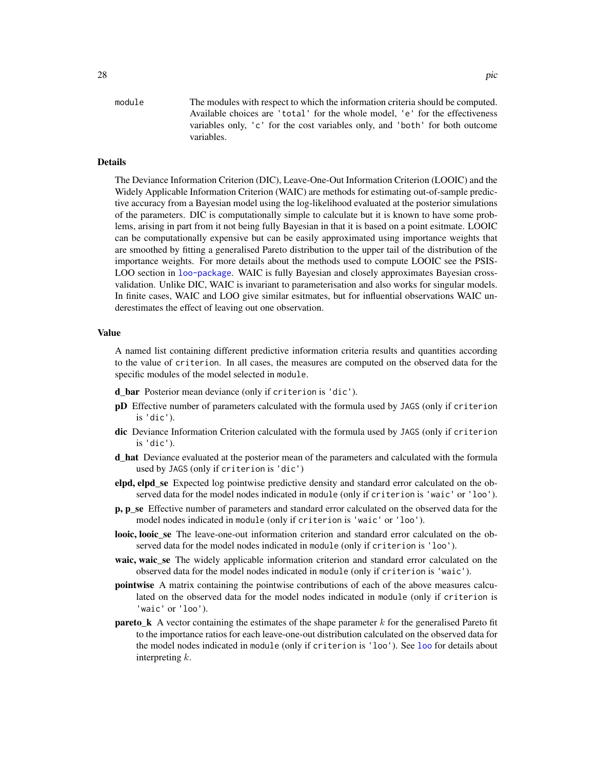#### <span id="page-27-0"></span>Details

The Deviance Information Criterion (DIC), Leave-One-Out Information Criterion (LOOIC) and the Widely Applicable Information Criterion (WAIC) are methods for estimating out-of-sample predictive accuracy from a Bayesian model using the log-likelihood evaluated at the posterior simulations of the parameters. DIC is computationally simple to calculate but it is known to have some problems, arising in part from it not being fully Bayesian in that it is based on a point esitmate. LOOIC can be computationally expensive but can be easily approximated using importance weights that are smoothed by fitting a generalised Pareto distribution to the upper tail of the distribution of the importance weights. For more details about the methods used to compute LOOIC see the PSIS-LOO section in [loo-package](#page-0-0). WAIC is fully Bayesian and closely approximates Bayesian crossvalidation. Unlike DIC, WAIC is invariant to parameterisation and also works for singular models. In finite cases, WAIC and LOO give similar esitmates, but for influential observations WAIC underestimates the effect of leaving out one observation.

#### Value

A named list containing different predictive information criteria results and quantities according to the value of criterion. In all cases, the measures are computed on the observed data for the specific modules of the model selected in module.

d\_bar Posterior mean deviance (only if criterion is 'dic').

variables.

- pD Effective number of parameters calculated with the formula used by JAGS (only if criterion is 'dic').
- dic Deviance Information Criterion calculated with the formula used by JAGS (only if criterion is 'dic').
- d hat Deviance evaluated at the posterior mean of the parameters and calculated with the formula used by JAGS (only if criterion is 'dic')
- elpd, elpd\_se Expected log pointwise predictive density and standard error calculated on the observed data for the model nodes indicated in module (only if criterion is 'waic' or 'loo').
- p, p\_se Effective number of parameters and standard error calculated on the observed data for the model nodes indicated in module (only if criterion is 'waic' or 'loo').
- looic, looic\_se The leave-one-out information criterion and standard error calculated on the observed data for the model nodes indicated in module (only if criterion is 'loo').
- waic, waic\_se The widely applicable information criterion and standard error calculated on the observed data for the model nodes indicated in module (only if criterion is 'waic').
- pointwise A matrix containing the pointwise contributions of each of the above measures calculated on the observed data for the model nodes indicated in module (only if criterion is 'waic' or 'loo').
- **pareto** k A vector containing the estimates of the shape parameter k for the generalised Pareto fit to the importance ratios for each leave-one-out distribution calculated on the observed data for the model nodes indicated in module (only if criterion is 'loo'). See [loo](#page-0-0) for details about interpreting  $k$ .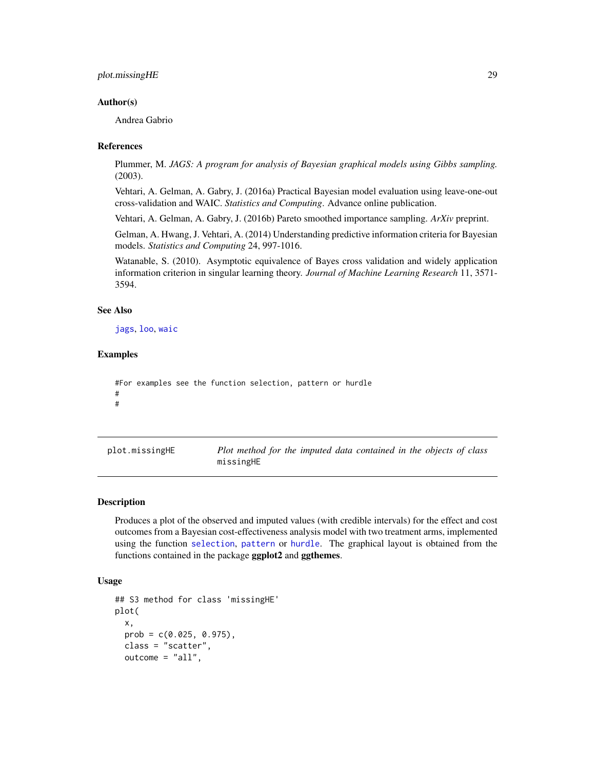#### <span id="page-28-0"></span>plot.missingHE 29

#### Author(s)

Andrea Gabrio

#### References

Plummer, M. *JAGS: A program for analysis of Bayesian graphical models using Gibbs sampling.* (2003).

Vehtari, A. Gelman, A. Gabry, J. (2016a) Practical Bayesian model evaluation using leave-one-out cross-validation and WAIC. *Statistics and Computing*. Advance online publication.

Vehtari, A. Gelman, A. Gabry, J. (2016b) Pareto smoothed importance sampling. *ArXiv* preprint.

Gelman, A. Hwang, J. Vehtari, A. (2014) Understanding predictive information criteria for Bayesian models. *Statistics and Computing* 24, 997-1016.

Watanable, S. (2010). Asymptotic equivalence of Bayes cross validation and widely application information criterion in singular learning theory. *Journal of Machine Learning Research* 11, 3571- 3594.

#### See Also

[jags](#page-0-0), [loo](#page-0-0), [waic](#page-0-0)

#### Examples

```
#For examples see the function selection, pattern or hurdle
#
#
```
<span id="page-28-1"></span>plot.missingHE *Plot method for the imputed data contained in the objects of class* missingHE

#### Description

Produces a plot of the observed and imputed values (with credible intervals) for the effect and cost outcomes from a Bayesian cost-effectiveness analysis model with two treatment arms, implemented using the function [selection](#page-40-1), [pattern](#page-21-1) or [hurdle](#page-10-1). The graphical layout is obtained from the functions contained in the package **ggplot2** and **ggthemes**.

#### Usage

```
## S3 method for class 'missingHE'
plot(
  x,
  prob = c(0.025, 0.975),
 class = "scatter",
  outcome = "all",
```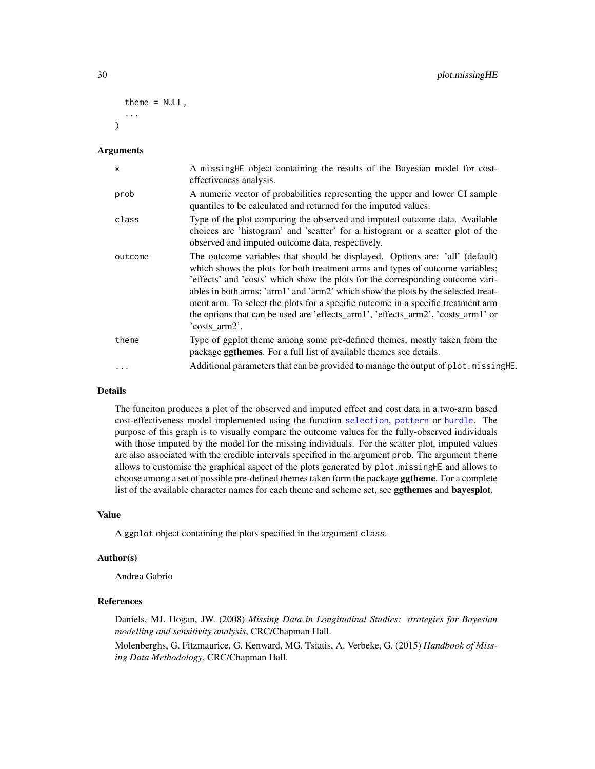```
theme = NULL,
   ...
\lambda
```
#### Arguments

| $\mathsf{x}$ | A missing HE object containing the results of the Bayesian model for cost-<br>effectiveness analysis.                                                                                                                                                                                                                                                                                                                                                                                                                         |
|--------------|-------------------------------------------------------------------------------------------------------------------------------------------------------------------------------------------------------------------------------------------------------------------------------------------------------------------------------------------------------------------------------------------------------------------------------------------------------------------------------------------------------------------------------|
| prob         | A numeric vector of probabilities representing the upper and lower CI sample<br>quantiles to be calculated and returned for the imputed values.                                                                                                                                                                                                                                                                                                                                                                               |
| class        | Type of the plot comparing the observed and imputed outcome data. Available<br>choices are 'histogram' and 'scatter' for a histogram or a scatter plot of the<br>observed and imputed outcome data, respectively.                                                                                                                                                                                                                                                                                                             |
| outcome      | The outcome variables that should be displayed. Options are: 'all' (default)<br>which shows the plots for both treatment arms and types of outcome variables;<br>'effects' and 'costs' which show the plots for the corresponding outcome vari-<br>ables in both arms; 'arm1' and 'arm2' which show the plots by the selected treat-<br>ment arm. To select the plots for a specific outcome in a specific treatment arm<br>the options that can be used are 'effects_arm1', 'effects_arm2', 'costs_arm1' or<br>'costs_arm2'. |
| theme        | Type of ggplot theme among some pre-defined themes, mostly taken from the<br>package <b>ggthemes</b> . For a full list of available themes see details.                                                                                                                                                                                                                                                                                                                                                                       |
| $\ddotsc$    | Additional parameters that can be provided to manage the output of plot missing HE.                                                                                                                                                                                                                                                                                                                                                                                                                                           |

#### Details

The funciton produces a plot of the observed and imputed effect and cost data in a two-arm based cost-effectiveness model implemented using the function [selection](#page-40-1), [pattern](#page-21-1) or [hurdle](#page-10-1). The purpose of this graph is to visually compare the outcome values for the fully-observed individuals with those imputed by the model for the missing individuals. For the scatter plot, imputed values are also associated with the credible intervals specified in the argument prob. The argument theme allows to customise the graphical aspect of the plots generated by plot.missingHE and allows to choose among a set of possible pre-defined themes taken form the package **ggtheme**. For a complete list of the available character names for each theme and scheme set, see ggthemes and bayesplot.

#### Value

A ggplot object containing the plots specified in the argument class.

#### Author(s)

Andrea Gabrio

#### References

Daniels, MJ. Hogan, JW. (2008) *Missing Data in Longitudinal Studies: strategies for Bayesian modelling and sensitivity analysis*, CRC/Chapman Hall.

Molenberghs, G. Fitzmaurice, G. Kenward, MG. Tsiatis, A. Verbeke, G. (2015) *Handbook of Missing Data Methodology*, CRC/Chapman Hall.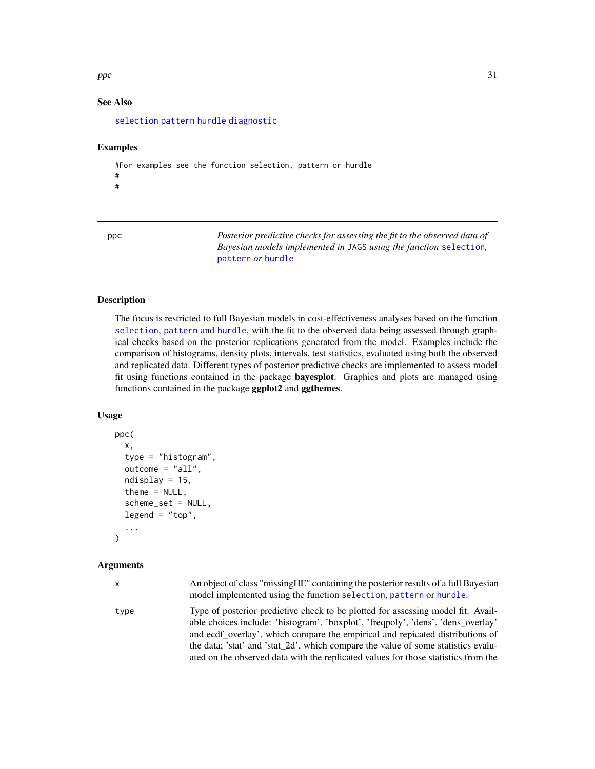<span id="page-30-0"></span> $\epsilon$  31

#### See Also

[selection](#page-40-1) [pattern](#page-21-1) [hurdle](#page-10-1) [diagnostic](#page-6-1)

#### Examples

```
#For examples see the function selection, pattern or hurdle
#
#
```
ppc *Posterior predictive checks for assessing the fit to the observed data of Bayesian models implemented in* JAGS *using the function* [selection](#page-40-1)*,* [pattern](#page-21-1) *or* [hurdle](#page-10-1)

#### Description

The focus is restricted to full Bayesian models in cost-effectiveness analyses based on the function [selection](#page-40-1), [pattern](#page-21-1) and [hurdle](#page-10-1), with the fit to the observed data being assessed through graphical checks based on the posterior replications generated from the model. Examples include the comparison of histograms, density plots, intervals, test statistics, evaluated using both the observed and replicated data. Different types of posterior predictive checks are implemented to assess model fit using functions contained in the package bayesplot. Graphics and plots are managed using functions contained in the package ggplot2 and ggthemes.

#### Usage

```
ppc(
  x,
  type = "histogram",
  outcome = "all",
 ndisplay = 15,
  theme = NULL,
  scheme_set = NULL,
  legend = "top",...
)
```

| x    | An object of class "missing HE" containing the posterior results of a full Bayesian<br>model implemented using the function selection, pattern or hurdle.                                                                                                                                                                                                                                                                          |
|------|------------------------------------------------------------------------------------------------------------------------------------------------------------------------------------------------------------------------------------------------------------------------------------------------------------------------------------------------------------------------------------------------------------------------------------|
| type | Type of posterior predictive check to be plotted for assessing model fit. Avail-<br>able choices include: 'histogram', 'boxplot', 'freqpoly', 'dens', 'dens' overlay'<br>and ecdf overlay', which compare the empirical and repicated distributions of<br>the data; 'stat' and 'stat' 2d', which compare the value of some statistics evalu-<br>ated on the observed data with the replicated values for those statistics from the |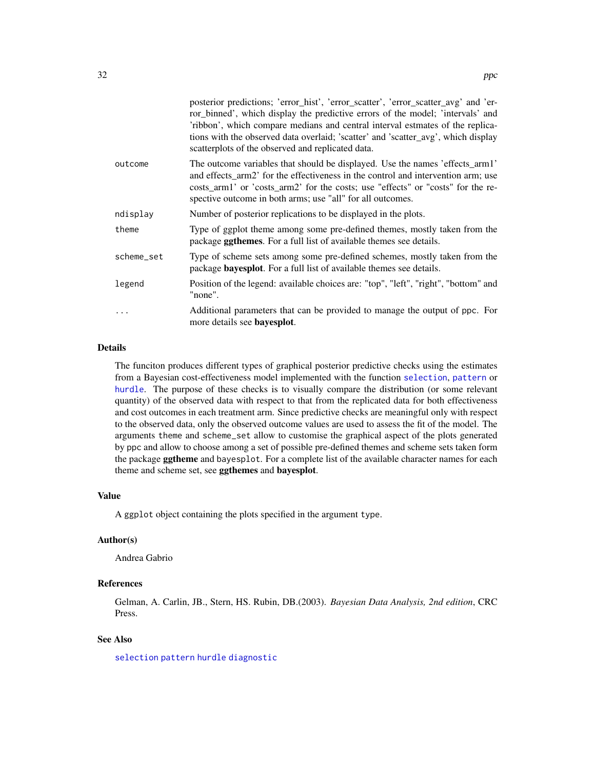<span id="page-31-0"></span>

|            | posterior predictions; 'error_hist', 'error_scatter', 'error_scatter_avg' and 'er-<br>ror_binned', which display the predictive errors of the model; 'intervals' and<br>'ribbon', which compare medians and central interval estmates of the replica-<br>tions with the observed data overlaid; 'scatter' and 'scatter_avg', which display<br>scatter plots of the observed and replicated data. |
|------------|--------------------------------------------------------------------------------------------------------------------------------------------------------------------------------------------------------------------------------------------------------------------------------------------------------------------------------------------------------------------------------------------------|
| outcome    | The outcome variables that should be displayed. Use the names 'effects_arm1'<br>and effects_arm2' for the effectiveness in the control and intervention arm; use<br>costs_arm1' or 'costs_arm2' for the costs; use "effects" or "costs" for the re-<br>spective outcome in both arms; use "all" for all outcomes.                                                                                |
| ndisplay   | Number of posterior replications to be displayed in the plots.                                                                                                                                                                                                                                                                                                                                   |
| theme      | Type of ggplot theme among some pre-defined themes, mostly taken from the<br>package <b>ggthemes</b> . For a full list of available themes see details.                                                                                                                                                                                                                                          |
| scheme_set | Type of scheme sets among some pre-defined schemes, mostly taken from the<br>package <b>bayesplot</b> . For a full list of available themes see details.                                                                                                                                                                                                                                         |
| legend     | Position of the legend: available choices are: "top", "left", "right", "bottom" and<br>"none".                                                                                                                                                                                                                                                                                                   |
| $\ddotsc$  | Additional parameters that can be provided to manage the output of ppc. For<br>more details see <b>bayesplot</b> .                                                                                                                                                                                                                                                                               |

#### Details

The funciton produces different types of graphical posterior predictive checks using the estimates from a Bayesian cost-effectiveness model implemented with the function [selection](#page-40-1), [pattern](#page-21-1) or [hurdle](#page-10-1). The purpose of these checks is to visually compare the distribution (or some relevant quantity) of the observed data with respect to that from the replicated data for both effectiveness and cost outcomes in each treatment arm. Since predictive checks are meaningful only with respect to the observed data, only the observed outcome values are used to assess the fit of the model. The arguments theme and scheme\_set allow to customise the graphical aspect of the plots generated by ppc and allow to choose among a set of possible pre-defined themes and scheme sets taken form the package **ggtheme** and bayesplot. For a complete list of the available character names for each theme and scheme set, see ggthemes and bayesplot.

#### Value

A ggplot object containing the plots specified in the argument type.

#### Author(s)

Andrea Gabrio

#### References

Gelman, A. Carlin, JB., Stern, HS. Rubin, DB.(2003). *Bayesian Data Analysis, 2nd edition*, CRC Press.

#### See Also

[selection](#page-40-1) [pattern](#page-21-1) [hurdle](#page-10-1) [diagnostic](#page-6-1)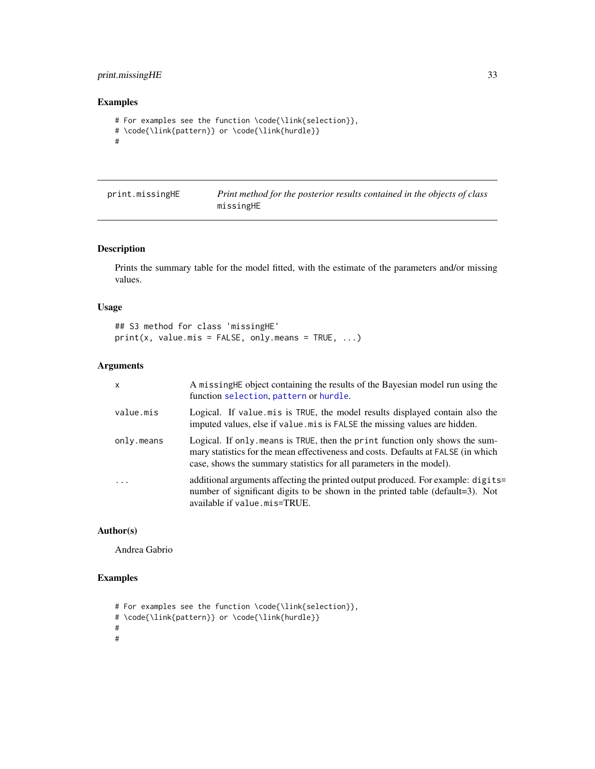#### <span id="page-32-0"></span>print.missingHE 33

#### Examples

```
# For examples see the function \code{\link{selection}},
# \code{\link{pattern}} or \code{\link{hurdle}}
#
```

| print.missingHE | Print method for the posterior results contained in the objects of class |
|-----------------|--------------------------------------------------------------------------|
|                 | missingHE                                                                |

#### Description

Prints the summary table for the model fitted, with the estimate of the parameters and/or missing values.

#### Usage

```
## S3 method for class 'missingHE'
print(x, value.mis = FALSE, only.means = TRUE, ...)
```
#### Arguments

| $\mathsf{x}$ | A missing HE object containing the results of the Bayesian model run using the<br>function selection, pattern or hurdle.                                                                                                                 |
|--------------|------------------------------------------------------------------------------------------------------------------------------------------------------------------------------------------------------------------------------------------|
| value.mis    | Logical. If value mis is TRUE, the model results displayed contain also the<br>imputed values, else if value mis is FALSE the missing values are hidden.                                                                                 |
| only.means   | Logical. If only means is TRUE, then the print function only shows the sum-<br>mary statistics for the mean effectiveness and costs. Defaults at FALSE (in which<br>case, shows the summary statistics for all parameters in the model). |
| $\ddots$     | additional arguments affecting the printed output produced. For example: digits=<br>number of significant digits to be shown in the printed table (default=3). Not<br>available if value.mis=TRUE.                                       |

#### Author(s)

Andrea Gabrio

#### Examples

```
# For examples see the function \code{\link{selection}},
# \code{\link{pattern}} or \code{\link{hurdle}}
#
#
```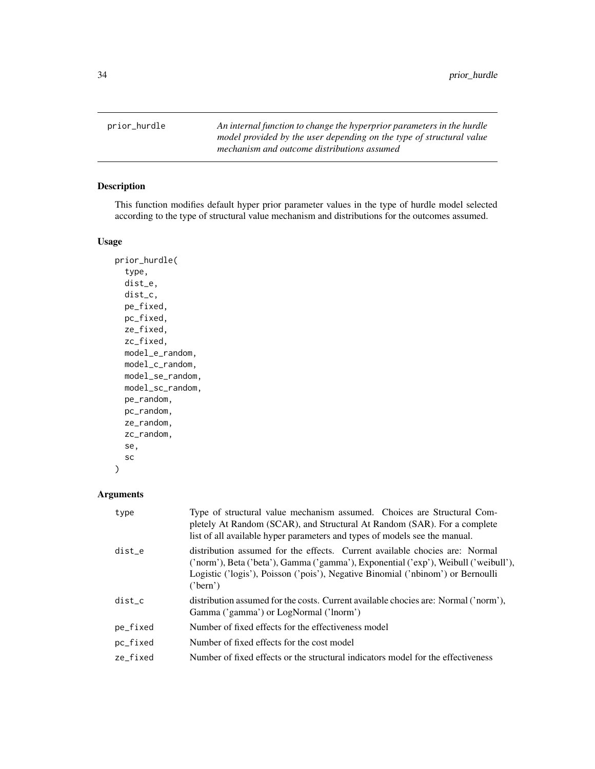<span id="page-33-0"></span>prior\_hurdle *An internal function to change the hyperprior parameters in the hurdle model provided by the user depending on the type of structural value mechanism and outcome distributions assumed*

#### Description

This function modifies default hyper prior parameter values in the type of hurdle model selected according to the type of structural value mechanism and distributions for the outcomes assumed.

#### Usage

prior\_hurdle( type, dist\_e, dist\_c, pe\_fixed, pc\_fixed, ze\_fixed, zc\_fixed, model\_e\_random, model\_c\_random, model\_se\_random, model\_sc\_random, pe\_random, pc\_random, ze\_random, zc\_random, se, sc )

| type     | Type of structural value mechanism assumed. Choices are Structural Com-<br>pletely At Random (SCAR), and Structural At Random (SAR). For a complete<br>list of all available hyper parameters and types of models see the manual.                                 |
|----------|-------------------------------------------------------------------------------------------------------------------------------------------------------------------------------------------------------------------------------------------------------------------|
| dist_e   | distribution assumed for the effects. Current available chocies are: Normal<br>('norm'), Beta ('beta'), Gamma ('gamma'), Exponential ('exp'), Weibull ('weibull'),<br>Logistic ('logis'), Poisson ('pois'), Negative Binomial ('nbinom') or Bernoulli<br>('bern') |
| dist c   | distribution assumed for the costs. Current available chocies are: Normal ('norm'),<br>Gamma ('gamma') or LogNormal ('lnorm')                                                                                                                                     |
| pe_fixed | Number of fixed effects for the effectiveness model                                                                                                                                                                                                               |
| pc_fixed | Number of fixed effects for the cost model                                                                                                                                                                                                                        |
| ze fixed | Number of fixed effects or the structural indicators model for the effectiveness                                                                                                                                                                                  |
|          |                                                                                                                                                                                                                                                                   |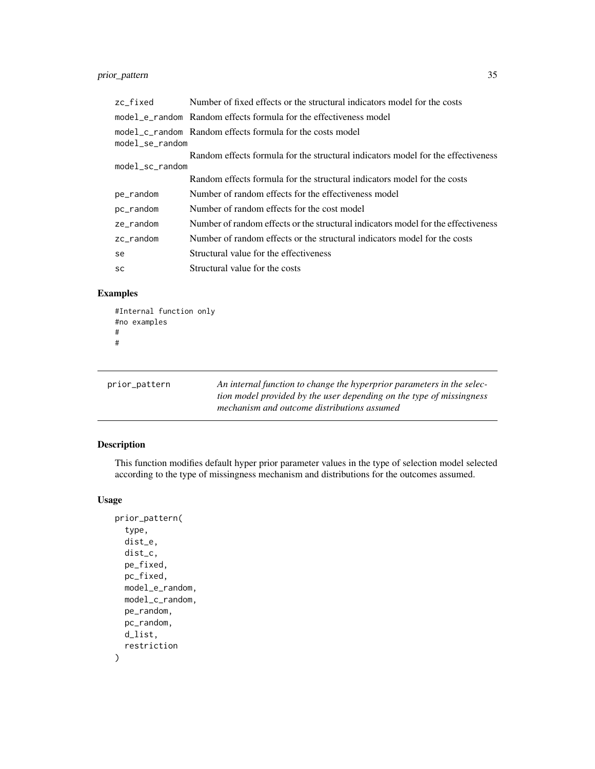#### <span id="page-34-0"></span>prior\_pattern 35

| zc fixed            | Number of fixed effects or the structural indicators model for the costs          |  |
|---------------------|-----------------------------------------------------------------------------------|--|
|                     | model e random Random effects formula for the effectiveness model                 |  |
| $model\_se\_random$ | model c random Random effects formula for the costs model                         |  |
|                     | Random effects formula for the structural indicators model for the effectiveness  |  |
| $model\_sc\_random$ |                                                                                   |  |
|                     | Random effects formula for the structural indicators model for the costs          |  |
| pe_random           | Number of random effects for the effectiveness model                              |  |
| pc_random           | Number of random effects for the cost model                                       |  |
| ze random           | Number of random effects or the structural indicators model for the effectiveness |  |
| zc random           | Number of random effects or the structural indicators model for the costs         |  |
| se                  | Structural value for the effectiveness                                            |  |
| <b>SC</b>           | Structural value for the costs                                                    |  |

#### Examples

```
#Internal function only
#no examples
#
#
```

| prior_pattern | An internal function to change the hyperprior parameters in the selec-<br>tion model provided by the user depending on the type of missingness<br>mechanism and outcome distributions assumed |
|---------------|-----------------------------------------------------------------------------------------------------------------------------------------------------------------------------------------------|
|---------------|-----------------------------------------------------------------------------------------------------------------------------------------------------------------------------------------------|

#### Description

This function modifies default hyper prior parameter values in the type of selection model selected according to the type of missingness mechanism and distributions for the outcomes assumed.

#### Usage

```
prior_pattern(
  type,
  dist_e,
  dist_c,
  pe_fixed,
  pc_fixed,
  model_e_random,
  model_c_random,
  pe_random,
  pc_random,
  d_list,
  restriction
\mathcal{E}
```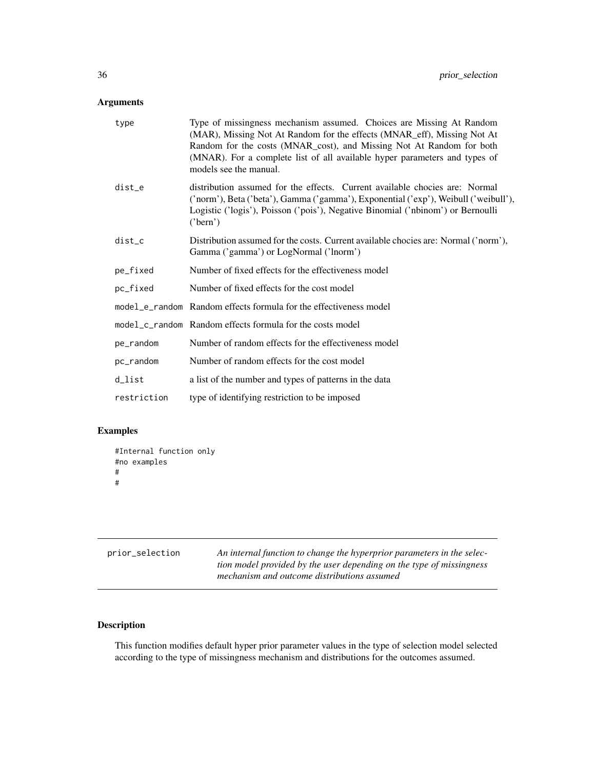#### <span id="page-35-0"></span>Arguments

| type        | Type of missingness mechanism assumed. Choices are Missing At Random<br>(MAR), Missing Not At Random for the effects (MNAR_eff), Missing Not At<br>Random for the costs (MNAR_cost), and Missing Not At Random for both<br>(MNAR). For a complete list of all available hyper parameters and types of<br>models see the manual. |
|-------------|---------------------------------------------------------------------------------------------------------------------------------------------------------------------------------------------------------------------------------------------------------------------------------------------------------------------------------|
| dist_e      | distribution assumed for the effects. Current available chocies are: Normal<br>('norm'), Beta ('beta'), Gamma ('gamma'), Exponential ('exp'), Weibull ('weibull'),<br>Logistic ('logis'), Poisson ('pois'), Negative Binomial ('nbinom') or Bernoulli<br>('bern')                                                               |
| dist_c      | Distribution assumed for the costs. Current available chocies are: Normal ('norm'),<br>Gamma ('gamma') or LogNormal ('lnorm')                                                                                                                                                                                                   |
| pe_fixed    | Number of fixed effects for the effectiveness model                                                                                                                                                                                                                                                                             |
| pc_fixed    | Number of fixed effects for the cost model                                                                                                                                                                                                                                                                                      |
|             | model_e_random Random effects formula for the effectiveness model                                                                                                                                                                                                                                                               |
|             | model_c_random Random effects formula for the costs model                                                                                                                                                                                                                                                                       |
| pe_random   | Number of random effects for the effectiveness model                                                                                                                                                                                                                                                                            |
| pc_random   | Number of random effects for the cost model                                                                                                                                                                                                                                                                                     |
| d_list      | a list of the number and types of patterns in the data                                                                                                                                                                                                                                                                          |
| restriction | type of identifying restriction to be imposed                                                                                                                                                                                                                                                                                   |

#### Examples

```
#Internal function only
#no examples
#
#
```

| prior_selection | An internal function to change the hyperprior parameters in the selec- |
|-----------------|------------------------------------------------------------------------|
|                 | tion model provided by the user depending on the type of missingness   |
|                 | mechanism and outcome distributions assumed                            |

#### Description

This function modifies default hyper prior parameter values in the type of selection model selected according to the type of missingness mechanism and distributions for the outcomes assumed.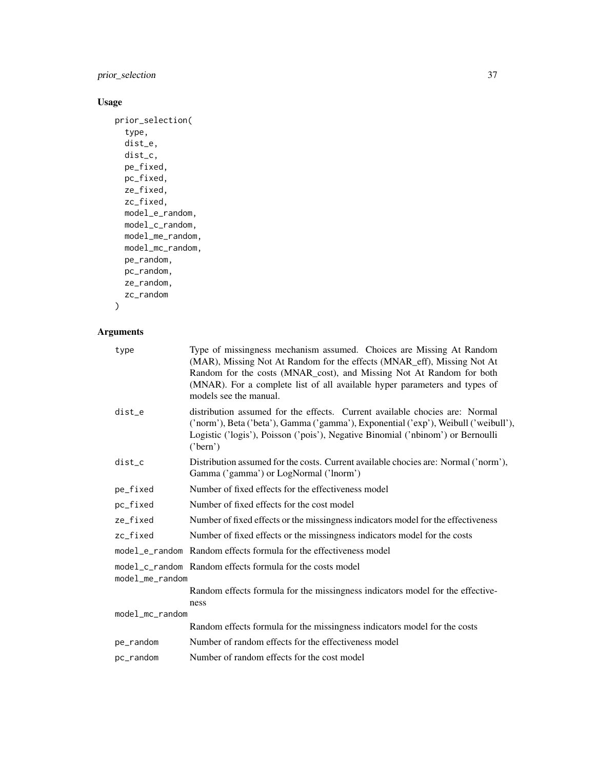prior\_selection 37

#### Usage

```
prior_selection(
  type,
  dist_e,
  dist_c,
  pe_fixed,
  pc_fixed,
  ze_fixed,
  zc_fixed,
  model_e_random,
  model_c_random,
  model_me_random,
  model_mc_random,
  pe_random,
  pc_random,
  ze_random,
  zc_random
\mathcal{L}
```

| Type of missingness mechanism assumed. Choices are Missing At Random<br>(MAR), Missing Not At Random for the effects (MNAR_eff), Missing Not At<br>Random for the costs (MNAR_cost), and Missing Not At Random for both<br>(MNAR). For a complete list of all available hyper parameters and types of<br>models see the manual. |
|---------------------------------------------------------------------------------------------------------------------------------------------------------------------------------------------------------------------------------------------------------------------------------------------------------------------------------|
| distribution assumed for the effects. Current available chocies are: Normal<br>('norm'), Beta ('beta'), Gamma ('gamma'), Exponential ('exp'), Weibull ('weibull'),<br>Logistic ('logis'), Poisson ('pois'), Negative Binomial ('nbinom') or Bernoulli<br>('bern')                                                               |
| Distribution assumed for the costs. Current available chocies are: Normal ('norm'),<br>Gamma ('gamma') or LogNormal ('lnorm')                                                                                                                                                                                                   |
| Number of fixed effects for the effectiveness model                                                                                                                                                                                                                                                                             |
| Number of fixed effects for the cost model                                                                                                                                                                                                                                                                                      |
| Number of fixed effects or the missingness indicators model for the effectiveness                                                                                                                                                                                                                                               |
| Number of fixed effects or the missingness indicators model for the costs                                                                                                                                                                                                                                                       |
| model_e_random Random effects formula for the effectiveness model                                                                                                                                                                                                                                                               |
| model_c_random Random effects formula for the costs model<br>model_me_random                                                                                                                                                                                                                                                    |
| Random effects formula for the missingness indicators model for the effective-<br>ness                                                                                                                                                                                                                                          |
| model_mc_random                                                                                                                                                                                                                                                                                                                 |
| Random effects formula for the missingness indicators model for the costs                                                                                                                                                                                                                                                       |
| Number of random effects for the effectiveness model                                                                                                                                                                                                                                                                            |
| Number of random effects for the cost model                                                                                                                                                                                                                                                                                     |
|                                                                                                                                                                                                                                                                                                                                 |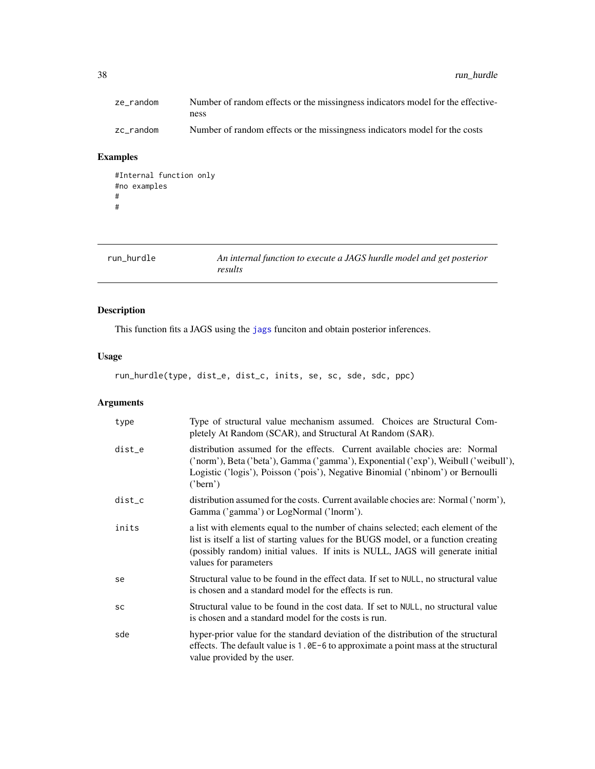<span id="page-37-0"></span>38 run\_hurdle

| ze_random | Number of random effects or the missingness indicators model for the effective- |
|-----------|---------------------------------------------------------------------------------|
|           | ness                                                                            |
| zc_random | Number of random effects or the missingness indicators model for the costs      |

#### Examples

```
#Internal function only
#no examples
#
#
```
run\_hurdle *An internal function to execute a JAGS hurdle model and get posterior results*

#### Description

This function fits a JAGS using the [jags](#page-0-0) funciton and obtain posterior inferences.

#### Usage

run\_hurdle(type, dist\_e, dist\_c, inits, se, sc, sde, sdc, ppc)

| type      | Type of structural value mechanism assumed. Choices are Structural Com-<br>pletely At Random (SCAR), and Structural At Random (SAR).                                                                                                                                               |
|-----------|------------------------------------------------------------------------------------------------------------------------------------------------------------------------------------------------------------------------------------------------------------------------------------|
| dist_e    | distribution assumed for the effects. Current available chocies are: Normal<br>('norm'), Beta ('beta'), Gamma ('gamma'), Exponential ('exp'), Weibull ('weibull'),<br>Logistic ('logis'), Poisson ('pois'), Negative Binomial ('nbinom') or Bernoulli<br>('bern')                  |
| dist_c    | distribution assumed for the costs. Current available chocies are: Normal ('norm'),<br>Gamma ('gamma') or LogNormal ('lnorm').                                                                                                                                                     |
| inits     | a list with elements equal to the number of chains selected; each element of the<br>list is itself a list of starting values for the BUGS model, or a function creating<br>(possibly random) initial values. If inits is NULL, JAGS will generate initial<br>values for parameters |
| se        | Structural value to be found in the effect data. If set to NULL, no structural value<br>is chosen and a standard model for the effects is run.                                                                                                                                     |
| <b>SC</b> | Structural value to be found in the cost data. If set to NULL, no structural value<br>is chosen and a standard model for the costs is run.                                                                                                                                         |
| sde       | hyper-prior value for the standard deviation of the distribution of the structural<br>effects. The default value is $1.0E-6$ to approximate a point mass at the structural<br>value provided by the user.                                                                          |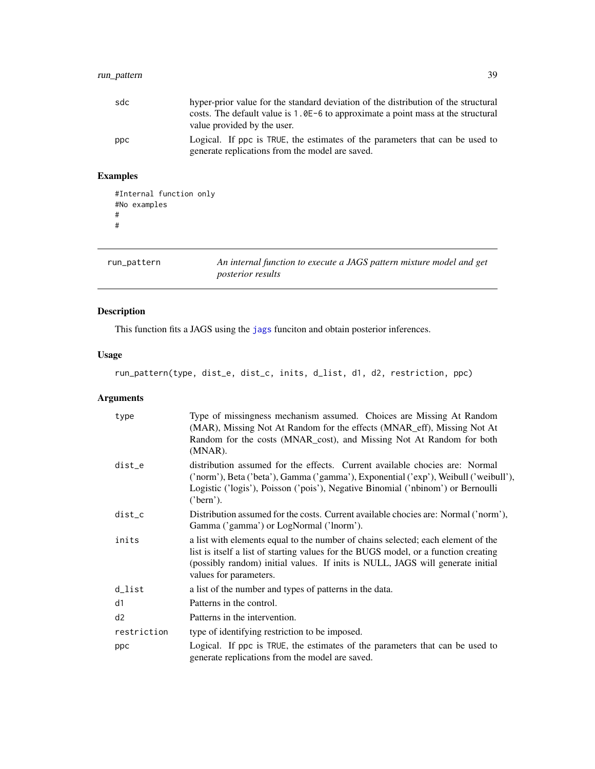#### <span id="page-38-0"></span>run\_pattern 39

| sdc | hyper-prior value for the standard deviation of the distribution of the structural<br>costs. The default value is $1.0E-6$ to approximate a point mass at the structural<br>value provided by the user. |
|-----|---------------------------------------------------------------------------------------------------------------------------------------------------------------------------------------------------------|
| ppc | Logical. If ppc is TRUE, the estimates of the parameters that can be used to<br>generate replications from the model are saved.                                                                         |

#### Examples

```
#Internal function only
#No examples
#
#
```
run\_pattern *An internal function to execute a JAGS pattern mixture model and get posterior results*

#### Description

This function fits a JAGS using the [jags](#page-0-0) funciton and obtain posterior inferences.

#### Usage

run\_pattern(type, dist\_e, dist\_c, inits, d\_list, d1, d2, restriction, ppc)

| type        | Type of missingness mechanism assumed. Choices are Missing At Random<br>(MAR), Missing Not At Random for the effects (MNAR_eff), Missing Not At<br>Random for the costs (MNAR_cost), and Missing Not At Random for both<br>(MNAR).                                                  |
|-------------|-------------------------------------------------------------------------------------------------------------------------------------------------------------------------------------------------------------------------------------------------------------------------------------|
| dist_e      | distribution assumed for the effects. Current available chocies are: Normal<br>('norm'), Beta ('beta'), Gamma ('gamma'), Exponential ('exp'), Weibull ('weibull'),<br>Logistic ('logis'), Poisson ('pois'), Negative Binomial ('nbinom') or Bernoulli<br>('bern').                  |
| dist_c      | Distribution assumed for the costs. Current available chocies are: Normal ('norm'),<br>Gamma ('gamma') or LogNormal ('lnorm').                                                                                                                                                      |
| inits       | a list with elements equal to the number of chains selected; each element of the<br>list is itself a list of starting values for the BUGS model, or a function creating<br>(possibly random) initial values. If inits is NULL, JAGS will generate initial<br>values for parameters. |
| d_list      | a list of the number and types of patterns in the data.                                                                                                                                                                                                                             |
| d1          | Patterns in the control.                                                                                                                                                                                                                                                            |
| d2          | Patterns in the intervention.                                                                                                                                                                                                                                                       |
| restriction | type of identifying restriction to be imposed.                                                                                                                                                                                                                                      |
| ppc         | Logical. If ppc is TRUE, the estimates of the parameters that can be used to<br>generate replications from the model are saved.                                                                                                                                                     |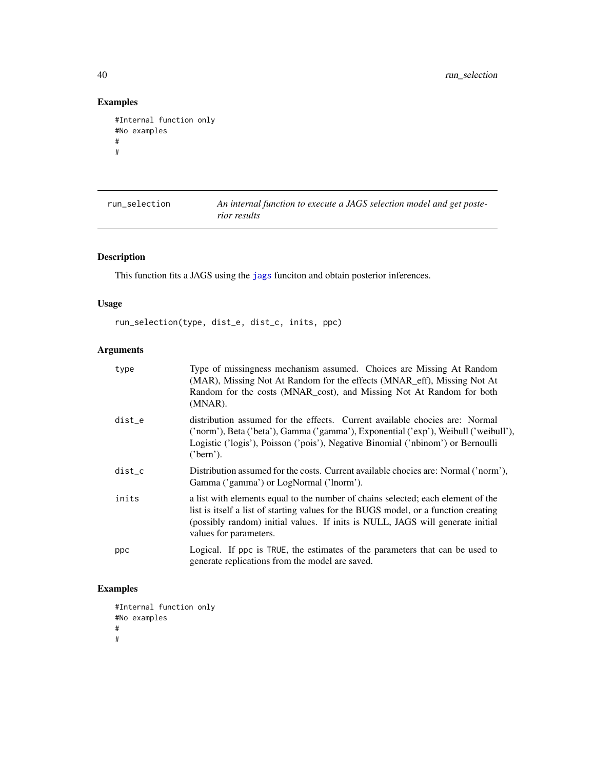```
#Internal function only
#No examples
#
#
```

| run_selection | An internal function to execute a JAGS selection model and get poste-<br>rior results |
|---------------|---------------------------------------------------------------------------------------|
|               |                                                                                       |

#### Description

This function fits a JAGS using the [jags](#page-0-0) funciton and obtain posterior inferences.

#### Usage

run\_selection(type, dist\_e, dist\_c, inits, ppc)

#### Arguments

| type     | Type of missingness mechanism assumed. Choices are Missing At Random<br>(MAR), Missing Not At Random for the effects (MNAR_eff), Missing Not At<br>Random for the costs (MNAR_cost), and Missing Not At Random for both<br>$(MNAR)$ .                                               |
|----------|-------------------------------------------------------------------------------------------------------------------------------------------------------------------------------------------------------------------------------------------------------------------------------------|
| dist_e   | distribution assumed for the effects. Current available chocies are: Normal<br>('norm'), Beta ('beta'), Gamma ('gamma'), Exponential ('exp'), Weibull ('weibull'),<br>Logistic ('logis'), Poisson ('pois'), Negative Binomial ('nbinom') or Bernoulli<br>('bern').                  |
| $dist_c$ | Distribution assumed for the costs. Current available chocies are: Normal ('norm'),<br>Gamma ('gamma') or LogNormal ('lnorm').                                                                                                                                                      |
| inits    | a list with elements equal to the number of chains selected; each element of the<br>list is itself a list of starting values for the BUGS model, or a function creating<br>(possibly random) initial values. If inits is NULL, JAGS will generate initial<br>values for parameters. |
| ppc      | Logical. If ppc is TRUE, the estimates of the parameters that can be used to<br>generate replications from the model are saved.                                                                                                                                                     |

#### Examples

#Internal function only #No examples # #

<span id="page-39-0"></span>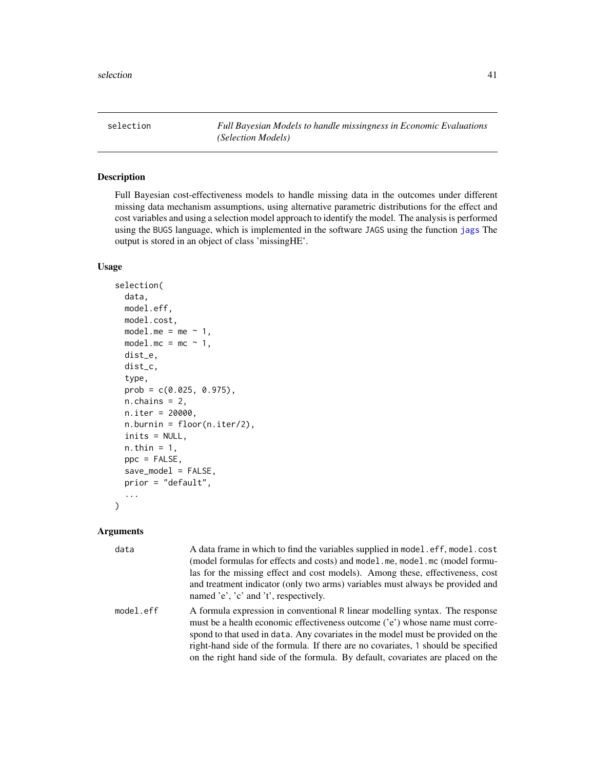<span id="page-40-1"></span><span id="page-40-0"></span>selection *Full Bayesian Models to handle missingness in Economic Evaluations (Selection Models)*

#### Description

Full Bayesian cost-effectiveness models to handle missing data in the outcomes under different missing data mechanism assumptions, using alternative parametric distributions for the effect and cost variables and using a selection model approach to identify the model. The analysis is performed using the BUGS language, which is implemented in the software JAGS using the function [jags](#page-0-0) The output is stored in an object of class 'missingHE'.

#### Usage

```
selection(
  data,
 model.eff,
 model.cost,
 model.me = me \sim 1,
 model.mc = mc ~ 1,dist_e,
  dist_c,
  type,
  prob = c(0.025, 0.975),
 n.chains = 2,
 n.iter = 20000,
 n.burnin = floor(n.iter/2),
  inits = NULL,
 n.thin = 1,
 ppc = FALSE,save_model = FALSE,
 prior = "default",
  ...
```
#### Arguments

)

| data      | A data frame in which to find the variables supplied in model.eff, model.cost<br>(model formulas for effects and costs) and model.me, model.mc (model formu-<br>las for the missing effect and cost models). Among these, effectiveness, cost<br>and treatment indicator (only two arms) variables must always be provided and<br>named 'e', 'c' and 't', respectively.                                                 |
|-----------|-------------------------------------------------------------------------------------------------------------------------------------------------------------------------------------------------------------------------------------------------------------------------------------------------------------------------------------------------------------------------------------------------------------------------|
| model.eff | A formula expression in conventional R linear modelling syntax. The response<br>must be a health economic effectiveness outcome ('e') whose name must corre-<br>spond to that used in data. Any covariates in the model must be provided on the<br>right-hand side of the formula. If there are no covariates, 1 should be specified<br>on the right hand side of the formula. By default, covariates are placed on the |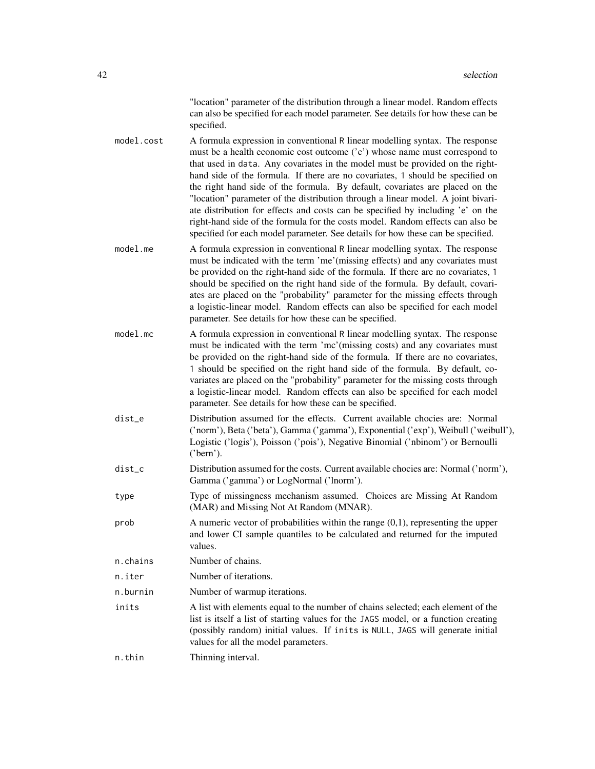"location" parameter of the distribution through a linear model. Random effects can also be specified for each model parameter. See details for how these can be specified.

model.cost A formula expression in conventional R linear modelling syntax. The response must be a health economic cost outcome ('c') whose name must correspond to that used in data. Any covariates in the model must be provided on the righthand side of the formula. If there are no covariates, 1 should be specified on the right hand side of the formula. By default, covariates are placed on the "location" parameter of the distribution through a linear model. A joint bivariate distribution for effects and costs can be specified by including 'e' on the right-hand side of the formula for the costs model. Random effects can also be specified for each model parameter. See details for how these can be specified.

- model.me A formula expression in conventional R linear modelling syntax. The response must be indicated with the term 'me'(missing effects) and any covariates must be provided on the right-hand side of the formula. If there are no covariates, 1 should be specified on the right hand side of the formula. By default, covariates are placed on the "probability" parameter for the missing effects through a logistic-linear model. Random effects can also be specified for each model parameter. See details for how these can be specified.
- model.mc A formula expression in conventional R linear modelling syntax. The response must be indicated with the term 'mc'(missing costs) and any covariates must be provided on the right-hand side of the formula. If there are no covariates, 1 should be specified on the right hand side of the formula. By default, covariates are placed on the "probability" parameter for the missing costs through a logistic-linear model. Random effects can also be specified for each model parameter. See details for how these can be specified.
- dist\_e Distribution assumed for the effects. Current available chocies are: Normal ('norm'), Beta ('beta'), Gamma ('gamma'), Exponential ('exp'), Weibull ('weibull'), Logistic ('logis'), Poisson ('pois'), Negative Binomial ('nbinom') or Bernoulli ('bern').
- dist\_c Distribution assumed for the costs. Current available chocies are: Normal ('norm'), Gamma ('gamma') or LogNormal ('lnorm').
- type Type of missingness mechanism assumed. Choices are Missing At Random (MAR) and Missing Not At Random (MNAR).
- $\alpha$  A numeric vector of probabilities within the range  $(0,1)$ , representing the upper and lower CI sample quantiles to be calculated and returned for the imputed values.
- n.chains Number of chains.
- n.iter Number of iterations.
- n.burnin Number of warmup iterations.
- inits A list with elements equal to the number of chains selected; each element of the list is itself a list of starting values for the JAGS model, or a function creating (possibly random) initial values. If inits is NULL, JAGS will generate initial values for all the model parameters.

n.thin Thinning interval.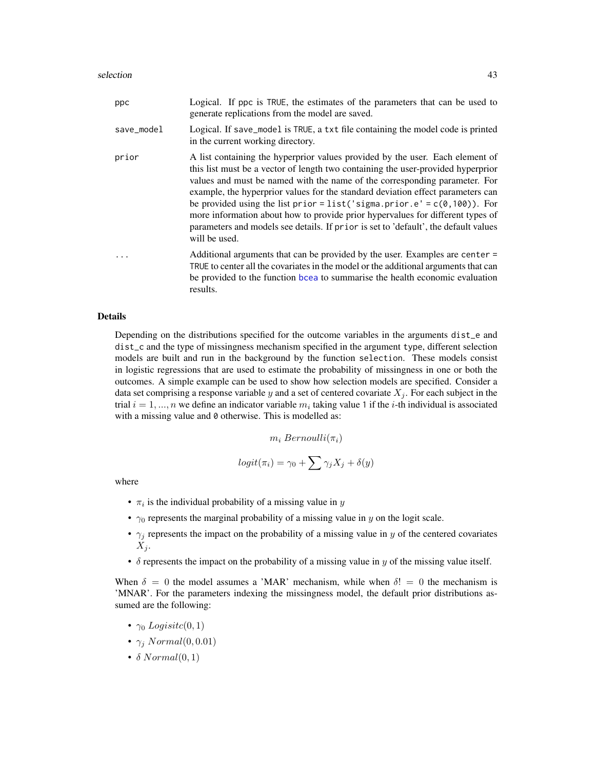<span id="page-42-0"></span>

| ppc        | Logical. If ppc is TRUE, the estimates of the parameters that can be used to<br>generate replications from the model are saved.                                                                                                                                                                                                                                                                                                                                                                                                                                                                        |
|------------|--------------------------------------------------------------------------------------------------------------------------------------------------------------------------------------------------------------------------------------------------------------------------------------------------------------------------------------------------------------------------------------------------------------------------------------------------------------------------------------------------------------------------------------------------------------------------------------------------------|
| save_model | Logical. If save_model is TRUE, a txt file containing the model code is printed<br>in the current working directory.                                                                                                                                                                                                                                                                                                                                                                                                                                                                                   |
| prior      | A list containing the hyperprior values provided by the user. Each element of<br>this list must be a vector of length two containing the user-provided hyperprior<br>values and must be named with the name of the corresponding parameter. For<br>example, the hyperprior values for the standard deviation effect parameters can<br>be provided using the list prior = $list('sigma.c)' = c(0,100))$ . For<br>more information about how to provide prior hypervalues for different types of<br>parameters and models see details. If prior is set to 'default', the default values<br>will be used. |
|            | Additional arguments that can be provided by the user. Examples are center =<br>TRUE to center all the covariates in the model or the additional arguments that can<br>be provided to the function bcea to summarise the health economic evaluation<br>results.                                                                                                                                                                                                                                                                                                                                        |

#### Details

Depending on the distributions specified for the outcome variables in the arguments dist\_e and dist\_c and the type of missingness mechanism specified in the argument type, different selection models are built and run in the background by the function selection. These models consist in logistic regressions that are used to estimate the probability of missingness in one or both the outcomes. A simple example can be used to show how selection models are specified. Consider a data set comprising a response variable y and a set of centered covariate  $X_i$ . For each subject in the trial  $i = 1, ..., n$  we define an indicator variable  $m_i$  taking value 1 if the *i*-th individual is associated with a missing value and 0 otherwise. This is modelled as:

 $m_i$  Bernoulli $(\pi_i)$ 

$$
logit(\pi_i) = \gamma_0 + \sum \gamma_j X_j + \delta(y)
$$

where

- $\pi_i$  is the individual probability of a missing value in y
- $\gamma_0$  represents the marginal probability of a missing value in y on the logit scale.
- $\gamma_i$  represents the impact on the probability of a missing value in y of the centered covariates  $X_j$ .
- $\delta$  represents the impact on the probability of a missing value in y of the missing value itself.

When  $\delta = 0$  the model assumes a 'MAR' mechanism, while when  $\delta! = 0$  the mechanism is 'MNAR'. For the parameters indexing the missingness model, the default prior distributions assumed are the following:

- $\gamma_0$  Logisitc $(0, 1)$
- $\gamma_i$  Normal $(0, 0.01)$
- $\delta$  Normal $(0, 1)$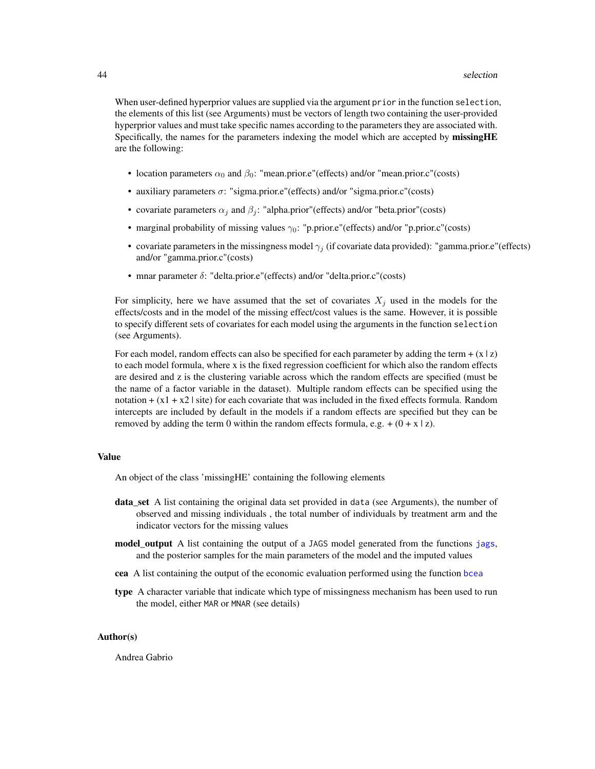<span id="page-43-0"></span>When user-defined hyperprior values are supplied via the argument prior in the function selection, the elements of this list (see Arguments) must be vectors of length two containing the user-provided hyperprior values and must take specific names according to the parameters they are associated with. Specifically, the names for the parameters indexing the model which are accepted by missingHE are the following:

- location parameters  $\alpha_0$  and  $\beta_0$ : "mean.prior.e"(effects) and/or "mean.prior.c"(costs)
- auxiliary parameters  $\sigma$ : "sigma.prior.e"(effects) and/or "sigma.prior.c"(costs)
- covariate parameters  $\alpha_i$  and  $\beta_i$ : "alpha.prior"(effects) and/or "beta.prior"(costs)
- marginal probability of missing values  $\gamma_0$ : "p.prior.e"(effects) and/or "p.prior.c"(costs)
- covariate parameters in the missingness model  $\gamma_i$  (if covariate data provided): "gamma.prior.e"(effects) and/or "gamma.prior.c"(costs)
- mnar parameter  $\delta$ : "delta.prior.e"(effects) and/or "delta.prior.c"(costs)

For simplicity, here we have assumed that the set of covariates  $X_j$  used in the models for the effects/costs and in the model of the missing effect/cost values is the same. However, it is possible to specify different sets of covariates for each model using the arguments in the function selection (see Arguments).

For each model, random effects can also be specified for each parameter by adding the term  $+(x \mid z)$ to each model formula, where x is the fixed regression coefficient for which also the random effects are desired and z is the clustering variable across which the random effects are specified (must be the name of a factor variable in the dataset). Multiple random effects can be specified using the notation  $+ (x1 + x2)$  site) for each covariate that was included in the fixed effects formula. Random intercepts are included by default in the models if a random effects are specified but they can be removed by adding the term 0 within the random effects formula, e.g.  $+(0 + x \mid z)$ .

#### Value

An object of the class 'missingHE' containing the following elements

- data\_set A list containing the original data set provided in data (see Arguments), the number of observed and missing individuals , the total number of individuals by treatment arm and the indicator vectors for the missing values
- model\_output A list containing the output of a JAGS model generated from the functions [jags](#page-0-0), and the posterior samples for the main parameters of the model and the imputed values
- cea A list containing the output of the economic evaluation performed using the function [bcea](#page-0-0)
- type A character variable that indicate which type of missingness mechanism has been used to run the model, either MAR or MNAR (see details)

#### Author(s)

Andrea Gabrio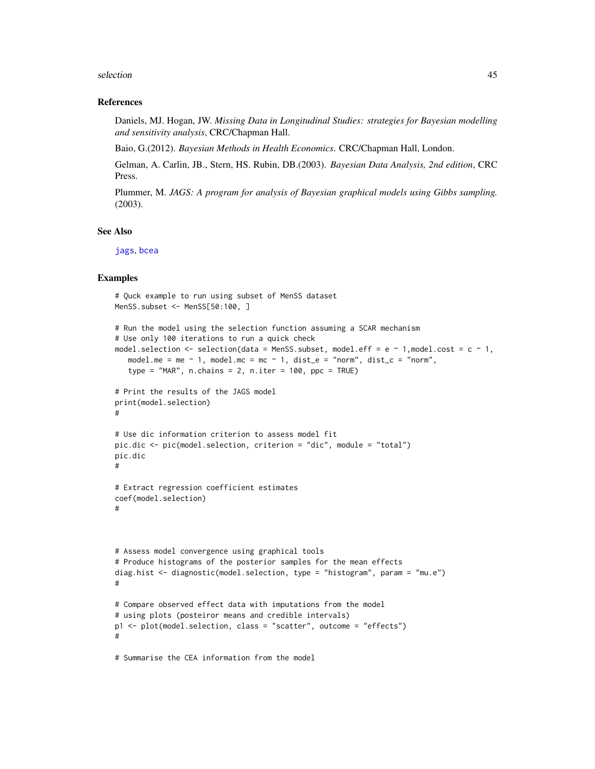#### <span id="page-44-0"></span>selection and the selection of the selection of the selection of the selection of the selection of the selection of the selection of the selection of the selection of the selection of the selection of the selection of the

#### References

Daniels, MJ. Hogan, JW. *Missing Data in Longitudinal Studies: strategies for Bayesian modelling and sensitivity analysis*, CRC/Chapman Hall.

Baio, G.(2012). *Bayesian Methods in Health Economics*. CRC/Chapman Hall, London.

Gelman, A. Carlin, JB., Stern, HS. Rubin, DB.(2003). *Bayesian Data Analysis, 2nd edition*, CRC Press.

Plummer, M. *JAGS: A program for analysis of Bayesian graphical models using Gibbs sampling.* (2003).

#### See Also

[jags](#page-0-0), [bcea](#page-0-0)

#### Examples

```
# Quck example to run using subset of MenSS dataset
MenSS.subset <- MenSS[50:100, ]
# Run the model using the selection function assuming a SCAR mechanism
# Use only 100 iterations to run a quick check
model.selection \leq selection(data = MenSS.subset, model.eff = e \sim 1, model.cost = c \sim 1,
   model.me = me \sim 1, model.mc = mc \sim 1, dist_e = "norm", dist_c = "norm",
   type = "MAR", n.chains = 2, n.iter = 100, ppc = TRUE)
# Print the results of the JAGS model
print(model.selection)
#
# Use dic information criterion to assess model fit
pic.dic <- pic(model.selection, criterion = "dic", module = "total")
pic.dic
#
# Extract regression coefficient estimates
coef(model.selection)
#
# Assess model convergence using graphical tools
# Produce histograms of the posterior samples for the mean effects
diag.hist <- diagnostic(model.selection, type = "histogram", param = "mu.e")
#
# Compare observed effect data with imputations from the model
# using plots (posteiror means and credible intervals)
p1 <- plot(model.selection, class = "scatter", outcome = "effects")
#
# Summarise the CEA information from the model
```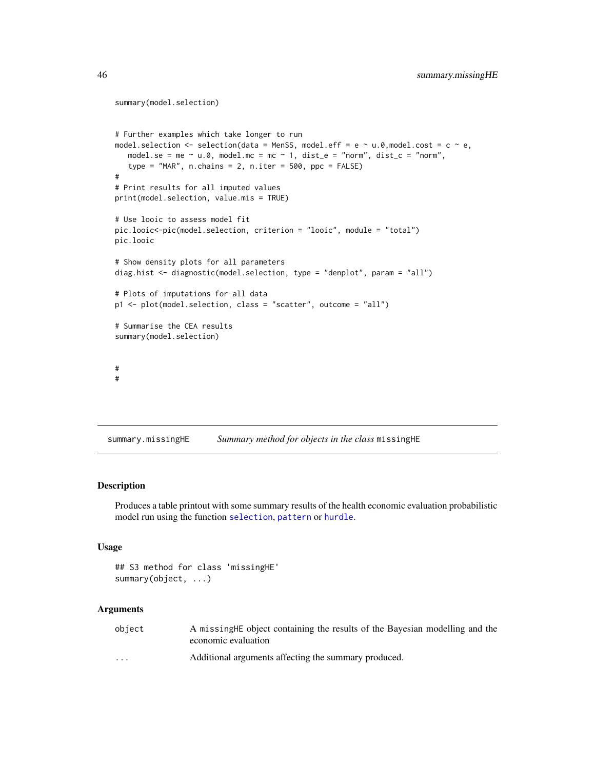```
summary(model.selection)
# Further examples which take longer to run
model.selection \leq selection(data = MenSS, model.eff = e \sim u.0, model.cost = c \sim e,
   model.se = me \sim u.0, model.mc = mc \sim 1, dist_e = "norm", dist_c = "norm",
   type = "MAR", n \cdot \text{chains} = 2, n \cdot \text{iter} = 500, ppc = FALSE)
#
# Print results for all imputed values
print(model.selection, value.mis = TRUE)
# Use looic to assess model fit
pic.looic<-pic(model.selection, criterion = "looic", module = "total")
pic.looic
# Show density plots for all parameters
diag.hist <- diagnostic(model.selection, type = "denplot", param = "all")
# Plots of imputations for all data
p1 <- plot(model.selection, class = "scatter", outcome = "all")
# Summarise the CEA results
summary(model.selection)
#
#
```
summary.missingHE *Summary method for objects in the class* missingHE

#### Description

Produces a table printout with some summary results of the health economic evaluation probabilistic model run using the function [selection](#page-40-1), [pattern](#page-21-1) or [hurdle](#page-10-1).

#### Usage

```
## S3 method for class 'missingHE'
summary(object, ...)
```

| object               | A missing HE object containing the results of the Bayesian modelling and the<br>economic evaluation |
|----------------------|-----------------------------------------------------------------------------------------------------|
| $\ddot{\phantom{0}}$ | Additional arguments affecting the summary produced.                                                |

<span id="page-45-0"></span>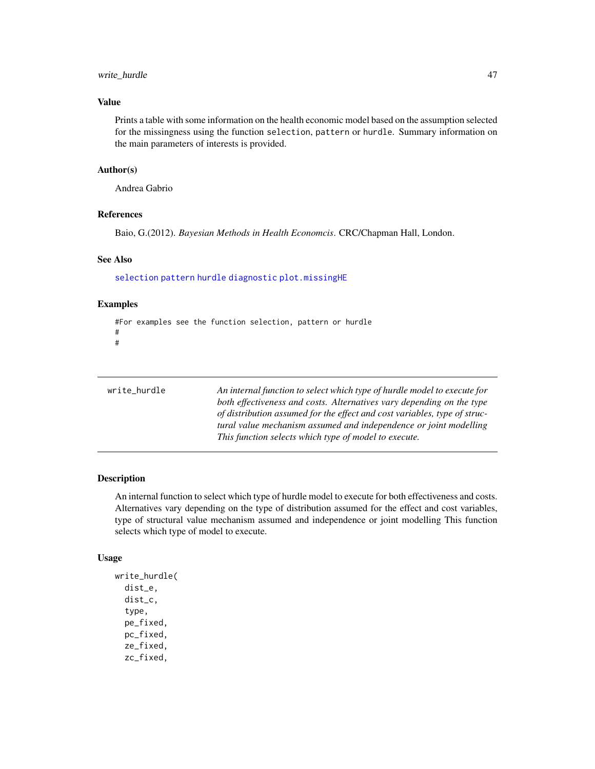#### <span id="page-46-0"></span>write\_hurdle 47

#### Value

Prints a table with some information on the health economic model based on the assumption selected for the missingness using the function selection, pattern or hurdle. Summary information on the main parameters of interests is provided.

#### Author(s)

Andrea Gabrio

#### References

Baio, G.(2012). *Bayesian Methods in Health Economcis*. CRC/Chapman Hall, London.

#### See Also

[selection](#page-40-1) [pattern](#page-21-1) [hurdle](#page-10-1) [diagnostic](#page-6-1) [plot.missingHE](#page-28-1)

#### Examples

```
#For examples see the function selection, pattern or hurdle
#
#
```

| write_hurdle | An internal function to select which type of hurdle model to execute for  |
|--------------|---------------------------------------------------------------------------|
|              | both effectiveness and costs. Alternatives vary depending on the type     |
|              | of distribution assumed for the effect and cost variables, type of struc- |
|              | tural value mechanism assumed and independence or joint modelling         |
|              | This function selects which type of model to execute.                     |
|              |                                                                           |

#### Description

An internal function to select which type of hurdle model to execute for both effectiveness and costs. Alternatives vary depending on the type of distribution assumed for the effect and cost variables, type of structural value mechanism assumed and independence or joint modelling This function selects which type of model to execute.

#### Usage

```
write_hurdle(
  dist_e,
  dist_c,
  type,
  pe_fixed,
 pc_fixed,
  ze_fixed,
  zc_fixed,
```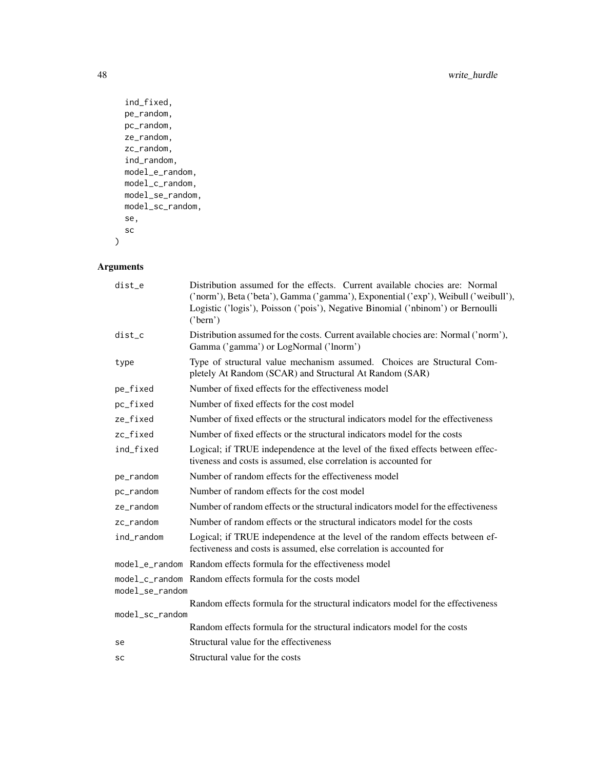```
ind_fixed,
 pe_random,
 pc_random,
 ze_random,
 zc_random,
  ind_random,
 model_e_random,
 model_c_random,
 model_se_random,
 model_sc_random,
 se,
 sc
)
```

| dist_e          | Distribution assumed for the effects. Current available chocies are: Normal<br>('norm'), Beta ('beta'), Gamma ('gamma'), Exponential ('exp'), Weibull ('weibull'),<br>Logistic ('logis'), Poisson ('pois'), Negative Binomial ('nbinom') or Bernoulli<br>('bern') |
|-----------------|-------------------------------------------------------------------------------------------------------------------------------------------------------------------------------------------------------------------------------------------------------------------|
| dist_c          | Distribution assumed for the costs. Current available chocies are: Normal ('norm'),<br>Gamma ('gamma') or LogNormal ('lnorm')                                                                                                                                     |
| type            | Type of structural value mechanism assumed. Choices are Structural Com-<br>pletely At Random (SCAR) and Structural At Random (SAR)                                                                                                                                |
| pe_fixed        | Number of fixed effects for the effectiveness model                                                                                                                                                                                                               |
| pc_fixed        | Number of fixed effects for the cost model                                                                                                                                                                                                                        |
| ze_fixed        | Number of fixed effects or the structural indicators model for the effectiveness                                                                                                                                                                                  |
| zc_fixed        | Number of fixed effects or the structural indicators model for the costs                                                                                                                                                                                          |
| ind_fixed       | Logical; if TRUE independence at the level of the fixed effects between effec-<br>tiveness and costs is assumed, else correlation is accounted for                                                                                                                |
| pe_random       | Number of random effects for the effectiveness model                                                                                                                                                                                                              |
| pc_random       | Number of random effects for the cost model                                                                                                                                                                                                                       |
| ze_random       | Number of random effects or the structural indicators model for the effectiveness                                                                                                                                                                                 |
| zc_random       | Number of random effects or the structural indicators model for the costs                                                                                                                                                                                         |
| ind random      | Logical; if TRUE independence at the level of the random effects between ef-<br>fectiveness and costs is assumed, else correlation is accounted for                                                                                                               |
|                 | model e random Random effects formula for the effectiveness model                                                                                                                                                                                                 |
| model_se_random | model_c_random Random effects formula for the costs model                                                                                                                                                                                                         |
|                 | Random effects formula for the structural indicators model for the effectiveness                                                                                                                                                                                  |
| model_sc_random |                                                                                                                                                                                                                                                                   |
|                 | Random effects formula for the structural indicators model for the costs                                                                                                                                                                                          |
| se              | Structural value for the effectiveness                                                                                                                                                                                                                            |
| SC              | Structural value for the costs                                                                                                                                                                                                                                    |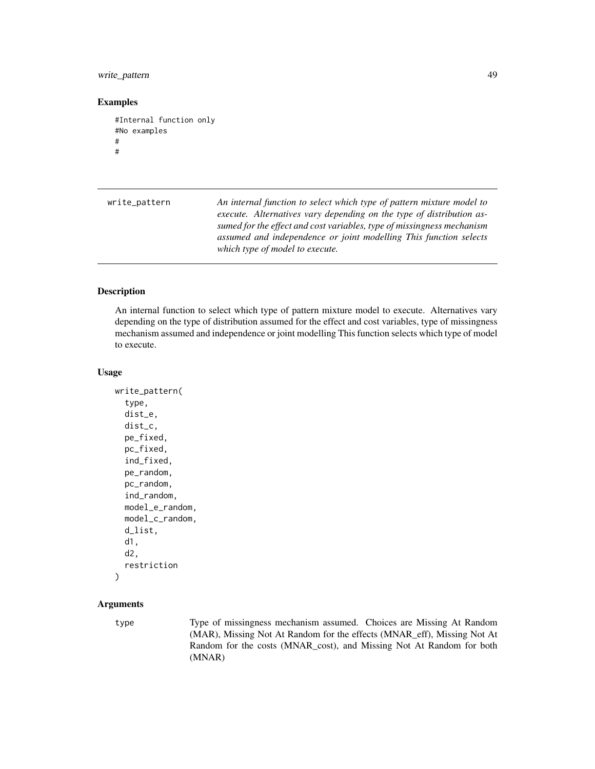#### <span id="page-48-0"></span>write\_pattern 49

#### Examples

```
#Internal function only
#No examples
#
#
```

| write_pattern | An internal function to select which type of pattern mixture model to<br>execute. Alternatives vary depending on the type of distribution as-<br>sumed for the effect and cost variables, type of missingness mechanism<br>assumed and independence or joint modelling This function selects<br>which type of model to execute. |
|---------------|---------------------------------------------------------------------------------------------------------------------------------------------------------------------------------------------------------------------------------------------------------------------------------------------------------------------------------|
|               |                                                                                                                                                                                                                                                                                                                                 |

#### Description

An internal function to select which type of pattern mixture model to execute. Alternatives vary depending on the type of distribution assumed for the effect and cost variables, type of missingness mechanism assumed and independence or joint modelling This function selects which type of model to execute.

#### Usage

```
write_pattern(
  type,
  dist_e,
  dist_c,
  pe_fixed,
  pc_fixed,
  ind_fixed,
  pe_random,
  pc_random,
  ind_random,
  model_e_random,
  model_c_random,
  d_list,
  d1,
  d2,
  restriction
)
```
#### Arguments

type Type of missingness mechanism assumed. Choices are Missing At Random (MAR), Missing Not At Random for the effects (MNAR\_eff), Missing Not At Random for the costs (MNAR\_cost), and Missing Not At Random for both (MNAR)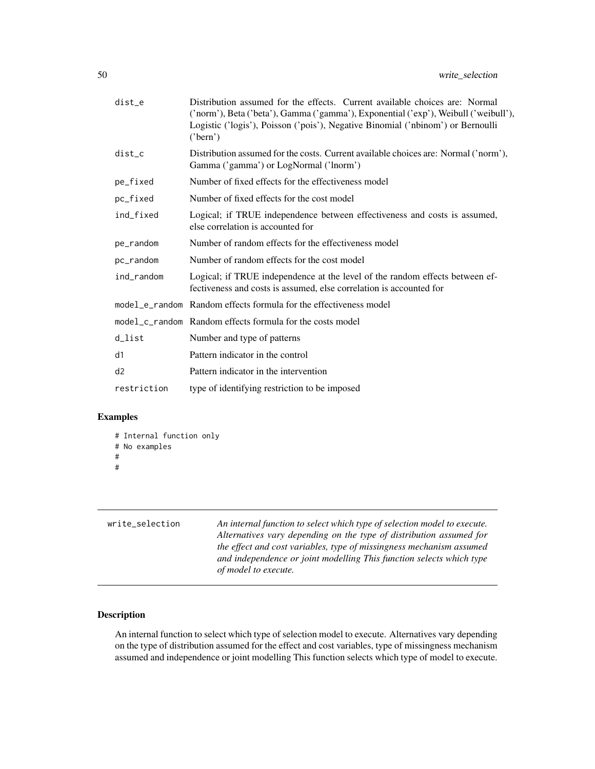<span id="page-49-0"></span>

| dist_e      | Distribution assumed for the effects. Current available choices are: Normal<br>('norm'), Beta ('beta'), Gamma ('gamma'), Exponential ('exp'), Weibull ('weibull'),<br>Logistic ('logis'), Poisson ('pois'), Negative Binomial ('nbinom') or Bernoulli<br>('bern') |
|-------------|-------------------------------------------------------------------------------------------------------------------------------------------------------------------------------------------------------------------------------------------------------------------|
| dist_c      | Distribution assumed for the costs. Current available choices are: Normal ('norm'),<br>Gamma ('gamma') or LogNormal ('lnorm')                                                                                                                                     |
| pe_fixed    | Number of fixed effects for the effectiveness model                                                                                                                                                                                                               |
| pc_fixed    | Number of fixed effects for the cost model                                                                                                                                                                                                                        |
| ind_fixed   | Logical; if TRUE independence between effectiveness and costs is assumed,<br>else correlation is accounted for                                                                                                                                                    |
| pe_random   | Number of random effects for the effectiveness model                                                                                                                                                                                                              |
| pc_random   | Number of random effects for the cost model                                                                                                                                                                                                                       |
| ind_random  | Logical; if TRUE independence at the level of the random effects between ef-<br>fectiveness and costs is assumed, else correlation is accounted for                                                                                                               |
|             | model_e_random Random effects formula for the effectiveness model                                                                                                                                                                                                 |
|             | model_c_random Random effects formula for the costs model                                                                                                                                                                                                         |
| d_list      | Number and type of patterns                                                                                                                                                                                                                                       |
| d1          | Pattern indicator in the control                                                                                                                                                                                                                                  |
| d2          | Pattern indicator in the intervention                                                                                                                                                                                                                             |
| restriction | type of identifying restriction to be imposed                                                                                                                                                                                                                     |

```
# Internal function only
# No examples
#
#
```

| An internal function to select which type of selection model to execute. |
|--------------------------------------------------------------------------|
| Alternatives vary depending on the type of distribution assumed for      |
| the effect and cost variables, type of missingness mechanism assumed     |
| and independence or joint modelling This function selects which type     |
| of model to execute.                                                     |
|                                                                          |

#### Description

An internal function to select which type of selection model to execute. Alternatives vary depending on the type of distribution assumed for the effect and cost variables, type of missingness mechanism assumed and independence or joint modelling This function selects which type of model to execute.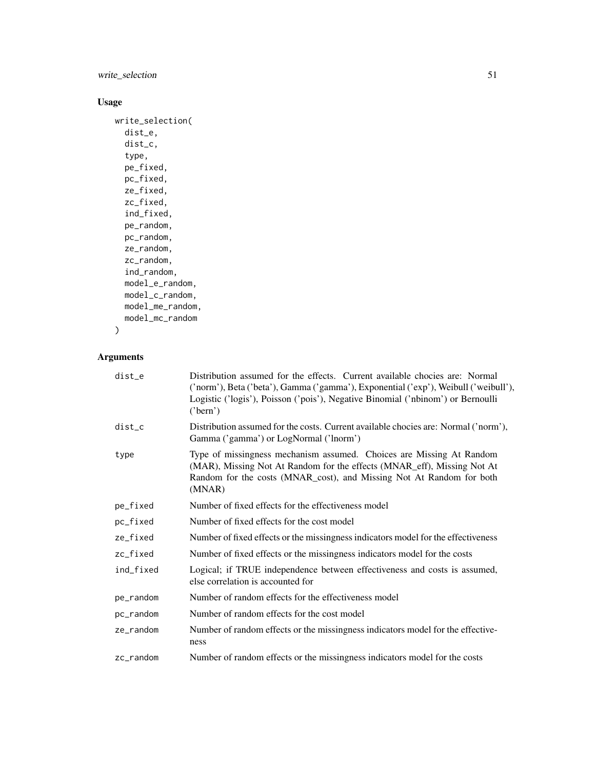#### write\_selection 51

#### Usage

```
write_selection(
  dist_e,
  dist_c,
  type,
  pe_fixed,
  pc_fixed,
  ze_fixed,
  zc_fixed,
  ind_fixed,
  pe_random,
  pc_random,
  ze_random,
  zc_random,
  ind_random,
  model_e_random,
  model_c_random,
  model_me_random,
  model_mc_random
)
```

| dist_e                  | Distribution assumed for the effects. Current available chocies are: Normal<br>('norm'), Beta ('beta'), Gamma ('gamma'), Exponential ('exp'), Weibull ('weibull'),<br>Logistic ('logis'), Poisson ('pois'), Negative Binomial ('nbinom') or Bernoulli<br>('bern') |
|-------------------------|-------------------------------------------------------------------------------------------------------------------------------------------------------------------------------------------------------------------------------------------------------------------|
| $dist_c$                | Distribution assumed for the costs. Current available chocies are: Normal ('norm'),<br>Gamma ('gamma') or LogNormal ('lnorm')                                                                                                                                     |
| type                    | Type of missingness mechanism assumed. Choices are Missing At Random<br>(MAR), Missing Not At Random for the effects (MNAR_eff), Missing Not At<br>Random for the costs (MNAR_cost), and Missing Not At Random for both<br>(MNAR)                                 |
| pe_fixed                | Number of fixed effects for the effectiveness model                                                                                                                                                                                                               |
| pc_fixed                | Number of fixed effects for the cost model                                                                                                                                                                                                                        |
| ze_fixed                | Number of fixed effects or the missingness indicators model for the effectiveness                                                                                                                                                                                 |
| zc_fixed                | Number of fixed effects or the missingness indicators model for the costs                                                                                                                                                                                         |
| ind_fixed               | Logical; if TRUE independence between effectiveness and costs is assumed,<br>else correlation is accounted for                                                                                                                                                    |
| pe_random               | Number of random effects for the effectiveness model                                                                                                                                                                                                              |
| pc_random               | Number of random effects for the cost model                                                                                                                                                                                                                       |
| ze_random               | Number of random effects or the missingness indicators model for the effective-<br>ness                                                                                                                                                                           |
| $zc$ <sub>r</sub> andom | Number of random effects or the missingness indicators model for the costs                                                                                                                                                                                        |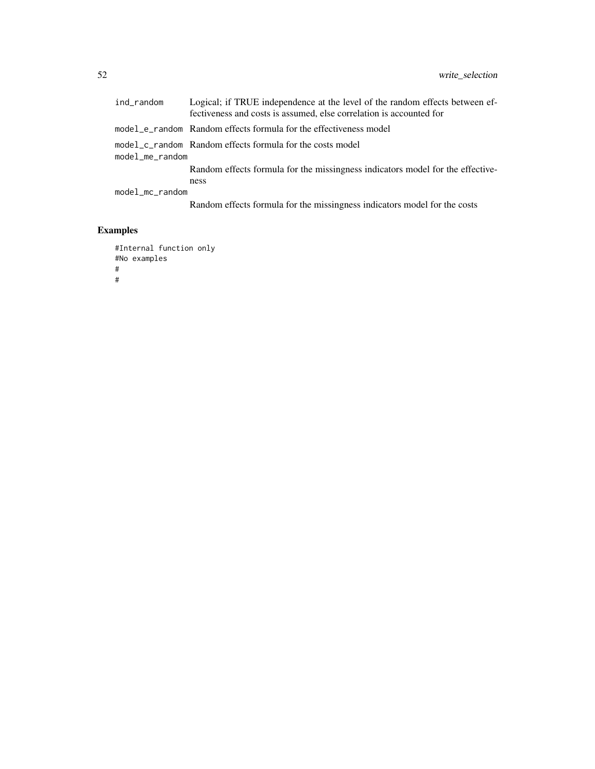|                 | ind_random      | Logical; if TRUE independence at the level of the random effects between ef-<br>fectiveness and costs is assumed, else correlation is accounted for |
|-----------------|-----------------|-----------------------------------------------------------------------------------------------------------------------------------------------------|
|                 |                 | model_e_random Random effects formula for the effectiveness model                                                                                   |
|                 | model_me_random | model_c_random Random effects formula for the costs model                                                                                           |
|                 |                 | Random effects formula for the missingness indicators model for the effective-<br>ness                                                              |
| model_mc_random |                 |                                                                                                                                                     |
|                 |                 | Random effects formula for the missingness indicators model for the costs                                                                           |

```
#Internal function only
#No examples
#
#
```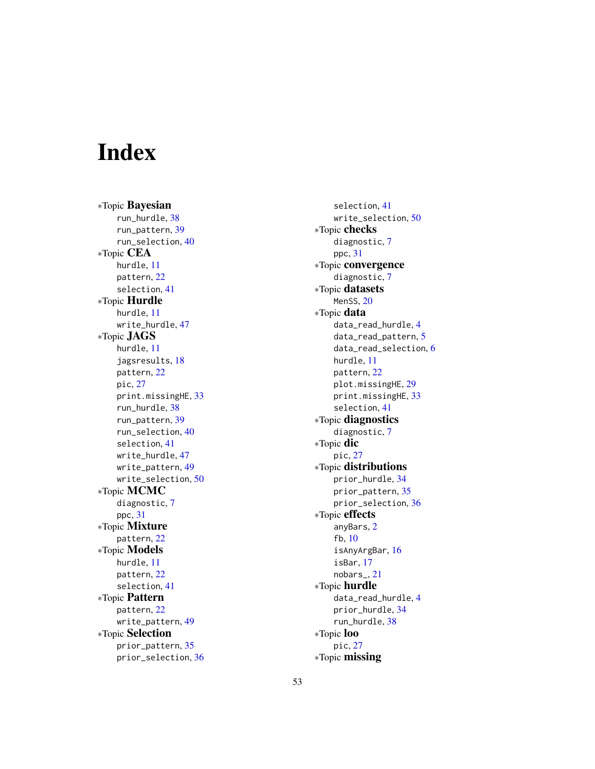# <span id="page-52-0"></span>Index

∗Topic Bayesian run\_hurdle , [38](#page-37-0) run\_pattern , [39](#page-38-0) run\_selection , [40](#page-39-0) ∗Topic CEA hurdle , [11](#page-10-0) pattern , [22](#page-21-0) selection , [41](#page-40-0) ∗Topic Hurdle hurdle , [11](#page-10-0) write\_hurdle, [47](#page-46-0) ∗Topic JAGS hurdle , [11](#page-10-0) jagsresults , [18](#page-17-0) pattern , [22](#page-21-0) pic , [27](#page-26-0) print.missingHE , [33](#page-32-0) run\_hurdle , [38](#page-37-0) run\_pattern , [39](#page-38-0) run\_selection , [40](#page-39-0) selection , [41](#page-40-0) write\_hurdle , [47](#page-46-0) write\_pattern , [49](#page-48-0) write\_selection , [50](#page-49-0) ∗Topic MCMC diagnostic , [7](#page-6-0) ppc , [31](#page-30-0) ∗Topic Mixture pattern , [22](#page-21-0) ∗Topic Models hurdle , [11](#page-10-0) pattern , [22](#page-21-0) selection , [41](#page-40-0) ∗Topic Pattern pattern , [22](#page-21-0) write\_pattern , [49](#page-48-0) ∗Topic Selection prior\_pattern , [35](#page-34-0) prior\_selection , [36](#page-35-0)

selection , [41](#page-40-0) write\_selection , [50](#page-49-0) ∗Topic checks diagnostic, [7](#page-6-0) ppc , [31](#page-30-0) ∗Topic convergence diagnostic, [7](#page-6-0) ∗Topic datasets MenSS, [20](#page-19-0) ∗Topic data data\_read\_hurdle , [4](#page-3-0) data\_read\_pattern , [5](#page-4-0) data\_read\_selection , [6](#page-5-0) hurdle , [11](#page-10-0) pattern , [22](#page-21-0) plot.missingHE , [29](#page-28-0) print.missingHE , [33](#page-32-0) selection , [41](#page-40-0) ∗Topic diagnostics diagnostic, [7](#page-6-0) ∗Topic dic pic , [27](#page-26-0) ∗Topic distributions prior\_hurdle , [34](#page-33-0) prior\_pattern , [35](#page-34-0) prior\_selection , [36](#page-35-0) ∗Topic effects anyBars , [2](#page-1-0) fb , [10](#page-9-0) isAnyArgBar , [16](#page-15-0) isBar , [17](#page-16-0) nobars\_ , [21](#page-20-0) ∗Topic hurdle data\_read\_hurdle , [4](#page-3-0) prior\_hurdle , [34](#page-33-0) run\_hurdle , [38](#page-37-0) ∗Topic loo pic , [27](#page-26-0) ∗Topic missing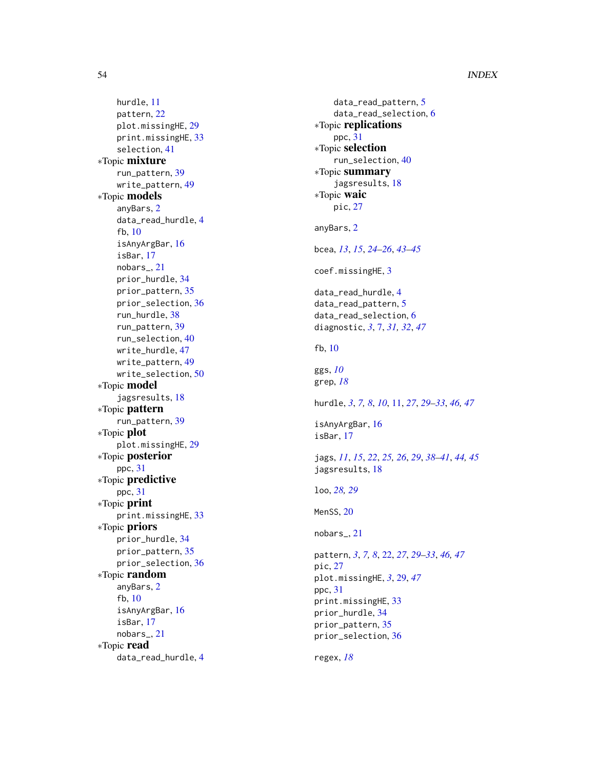#### 54 INDEX

hurdle , [11](#page-10-0) pattern , [22](#page-21-0) plot.missingHE , [29](#page-28-0) print.missingHE , [33](#page-32-0) selection , [41](#page-40-0) ∗Topic mixture run\_pattern , [39](#page-38-0) write\_pattern , [49](#page-48-0) ∗Topic models anyBars , [2](#page-1-0) data\_read\_hurdle , [4](#page-3-0) fb , [10](#page-9-0) isAnyArgBar , [16](#page-15-0) isBar , [17](#page-16-0) nobars\_ , [21](#page-20-0) prior\_hurdle , [34](#page-33-0) prior\_pattern , [35](#page-34-0) prior\_selection , [36](#page-35-0) run\_hurdle , [38](#page-37-0) run\_pattern , [39](#page-38-0) run\_selection , [40](#page-39-0) write\_hurdle , [47](#page-46-0) write\_pattern , [49](#page-48-0) write\_selection , [50](#page-49-0) ∗Topic model jagsresults , [18](#page-17-0) ∗Topic pattern run\_pattern , [39](#page-38-0) ∗Topic plot plot.missingHE , [29](#page-28-0) ∗Topic posterior ppc , [31](#page-30-0) ∗Topic predictive ppc , [31](#page-30-0) ∗Topic print print.missingHE , [33](#page-32-0) ∗Topic priors prior\_hurdle , [34](#page-33-0) prior\_pattern , [35](#page-34-0) prior\_selection , [36](#page-35-0) ∗Topic random anyBars , [2](#page-1-0) fb , [10](#page-9-0) isAnyArgBar , [16](#page-15-0) isBar , [17](#page-16-0) nobars\_ , [21](#page-20-0) ∗Topic read data\_read\_hurdle , [4](#page-3-0)

data\_read\_pattern , [5](#page-4-0) data\_read\_selection , [6](#page-5-0) ∗Topic replications ppc , [31](#page-30-0) ∗Topic selection run\_selection , [40](#page-39-0) ∗Topic summary jagsresults , [18](#page-17-0) ∗Topic waic pic , [27](#page-26-0) anyBars , [2](#page-1-0) bcea , *[13](#page-12-0)* , *[15](#page-14-0)* , *[24](#page-23-0) [–26](#page-25-0)* , *[43](#page-42-0) [–45](#page-44-0)* coef.missingHE , [3](#page-2-0) data\_read\_hurdle , [4](#page-3-0) data\_read\_pattern , [5](#page-4-0) data\_read\_selection , [6](#page-5-0) diagnostic , *[3](#page-2-0)* , [7](#page-6-0) , *[31](#page-30-0) , [32](#page-31-0)* , *[47](#page-46-0)* fb , [10](#page-9-0) ggs , *[10](#page-9-0)* grep , *[18](#page-17-0)* hurdle , *[3](#page-2-0)* , *[7,](#page-6-0) [8](#page-7-0)* , *[10](#page-9-0)* , [11](#page-10-0) , *[27](#page-26-0)* , *[29](#page-28-0) [–33](#page-32-0)* , *[46,](#page-45-0) [47](#page-46-0)* isAnyArgBar , [16](#page-15-0) isBar , [17](#page-16-0) jags , *[11](#page-10-0)* , *[15](#page-14-0)* , *[22](#page-21-0)* , *[25](#page-24-0) , [26](#page-25-0)* , *[29](#page-28-0)* , *[38](#page-37-0) [–41](#page-40-0)* , *[44](#page-43-0) , [45](#page-44-0)* jagsresults , [18](#page-17-0) loo , *[28](#page-27-0) , [29](#page-28-0)* MenSS, [20](#page-19-0) nobars\_ , [21](#page-20-0) pattern , *[3](#page-2-0)* , *[7,](#page-6-0) [8](#page-7-0)* , [22](#page-21-0) , *[27](#page-26-0)* , *[29](#page-28-0) [–33](#page-32-0)* , *[46,](#page-45-0) [47](#page-46-0)* pic , [27](#page-26-0) plot.missingHE , *[3](#page-2-0)* , [29](#page-28-0) , *[47](#page-46-0)* ppc , [31](#page-30-0) print.missingHE , [33](#page-32-0) prior\_hurdle , [34](#page-33-0) prior\_pattern , [35](#page-34-0) prior\_selection , [36](#page-35-0) regex , *[18](#page-17-0)*